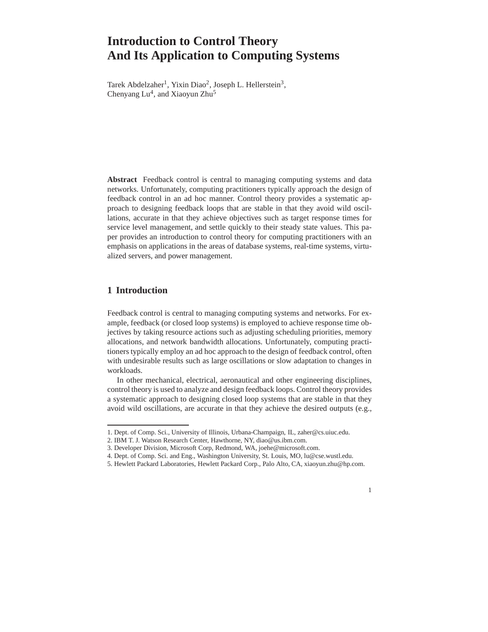## **Introduction to Control Theory And Its Application to Computing Systems**

Tarek Abdelzaher<sup>1</sup>, Yixin Diao<sup>2</sup>, Joseph L. Hellerstein<sup>3</sup>, Chenyang Lu<sup>4</sup>, and Xiaoyun Zhu<sup>5</sup>

**Abstract** Feedback control is central to managing computing systems and data networks. Unfortunately, computing practitioners typically approach the design of feedback control in an ad hoc manner. Control theory provides a systematic approach to designing feedback loops that are stable in that they avoid wild oscillations, accurate in that they achieve objectives such as target response times for service level management, and settle quickly to their steady state values. This paper provides an introduction to control theory for computing practitioners with an emphasis on applications in the areas of database systems, real-time systems, virtualized servers, and power management.

## **1 Introduction**

Feedback control is central to managing computing systems and networks. For example, feedback (or closed loop systems) is employed to achieve response time objectives by taking resource actions such as adjusting scheduling priorities, memory allocations, and network bandwidth allocations. Unfortunately, computing practitioners typically employ an ad hoc approach to the design of feedback control, often with undesirable results such as large oscillations or slow adaptation to changes in workloads.

In other mechanical, electrical, aeronautical and other engineering disciplines, control theory is used to analyze and design feedback loops. Control theory provides a systematic approach to designing closed loop systems that are stable in that they avoid wild oscillations, are accurate in that they achieve the desired outputs (e.g.,

<sup>1.</sup> Dept. of Comp. Sci., University of Illinois, Urbana-Champaign, IL, zaher@cs.uiuc.edu.

<sup>2.</sup> IBM T. J. Watson Research Center, Hawthorne, NY, diao@us.ibm.com.

<sup>3.</sup> Developer Division, Microsoft Corp, Redmond, WA, joehe@microsoft.com.

<sup>4.</sup> Dept. of Comp. Sci. and Eng., Washington University, St. Louis, MO, lu@cse.wustl.edu.

<sup>5.</sup> Hewlett Packard Laboratories, Hewlett Packard Corp., Palo Alto, CA, xiaoyun.zhu@hp.com.

<sup>1</sup>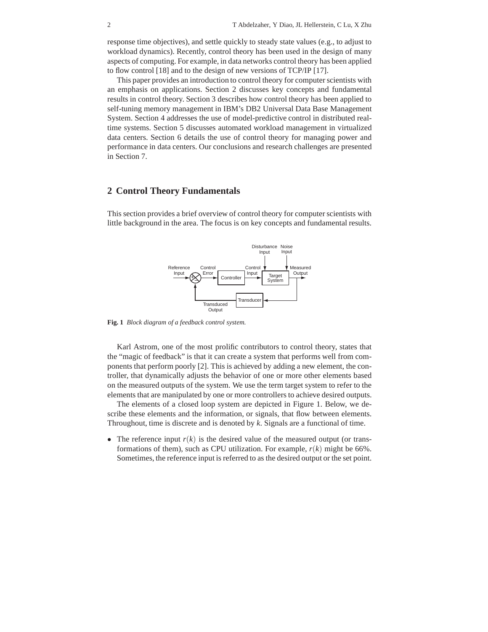response time objectives), and settle quickly to steady state values (e.g., to adjust to workload dynamics). Recently, control theory has been used in the design of many aspects of computing. For example, in data networks control theory has been applied to flow control [18] and to the design of new versions of TCP/IP [17].

This paper provides an introduction to control theory for computer scientists with an emphasis on applications. Section 2 discusses key concepts and fundamental results in control theory. Section 3 describes how control theory has been applied to self-tuning memory management in IBM's DB2 Universal Data Base Management System. Section 4 addresses the use of model-predictive control in distributed realtime systems. Section 5 discusses automated workload management in virtualized data centers. Section 6 details the use of control theory for managing power and performance in data centers. Our conclusions and research challenges are presented in Section 7.

#### **2 Control Theory Fundamentals**

This section provides a brief overview of control theory for computer scientists with little background in the area. The focus is on key concepts and fundamental results.



**Fig. 1** *Block diagram of a feedback control system.*

Karl Astrom, one of the most prolific contributors to control theory, states that the "magic of feedback" is that it can create a system that performs well from components that perform poorly [2]. This is achieved by adding a new element, the controller, that dynamically adjusts the behavior of one or more other elements based on the measured outputs of the system. We use the term target system to refer to the elements that are manipulated by one or more controllers to achieve desired outputs.

The elements of a closed loop system are depicted in Figure 1. Below, we describe these elements and the information, or signals, that flow between elements. Throughout, time is discrete and is denoted by *k*. Signals are a functional of time.

• The reference input  $r(k)$  is the desired value of the measured output (or transformations of them), such as CPU utilization. For example,  $r(k)$  might be 66%. Sometimes, the reference input is referred to as the desired output or the set point.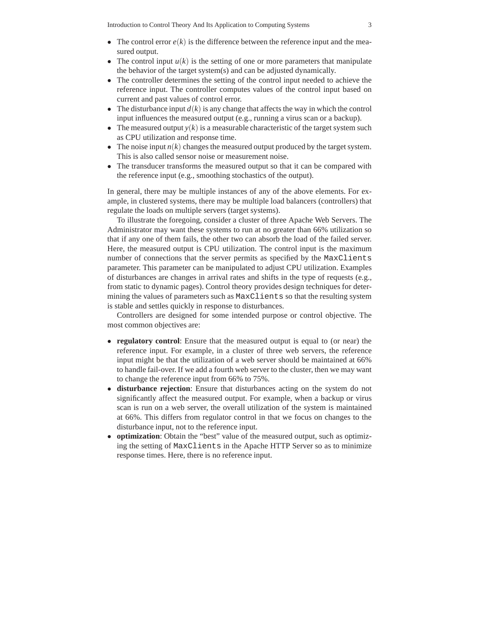- The control error  $e(k)$  is the difference between the reference input and the measured output.
- The control input  $u(k)$  is the setting of one or more parameters that manipulate the behavior of the target system(s) and can be adjusted dynamically.
- The controller determines the setting of the control input needed to achieve the reference input. The controller computes values of the control input based on current and past values of control error.
- The disturbance input  $d(k)$  is any change that affects the way in which the control input influences the measured output (e.g., running a virus scan or a backup).
- The measured output  $y(k)$  is a measurable characteristic of the target system such as CPU utilization and response time.
- The noise input  $n(k)$  changes the measured output produced by the target system. This is also called sensor noise or measurement noise.
- The transducer transforms the measured output so that it can be compared with the reference input (e.g., smoothing stochastics of the output).

In general, there may be multiple instances of any of the above elements. For example, in clustered systems, there may be multiple load balancers (controllers) that regulate the loads on multiple servers (target systems).

To illustrate the foregoing, consider a cluster of three Apache Web Servers. The Administrator may want these systems to run at no greater than 66% utilization so that if any one of them fails, the other two can absorb the load of the failed server. Here, the measured output is CPU utilization. The control input is the maximum number of connections that the server permits as specified by the MaxClients parameter. This parameter can be manipulated to adjust CPU utilization. Examples of disturbances are changes in arrival rates and shifts in the type of requests (e.g., from static to dynamic pages). Control theory provides design techniques for determining the values of parameters such as MaxClients so that the resulting system is stable and settles quickly in response to disturbances.

Controllers are designed for some intended purpose or control objective. The most common objectives are:

- **regulatory control**: Ensure that the measured output is equal to (or near) the reference input. For example, in a cluster of three web servers, the reference input might be that the utilization of a web server should be maintained at 66% to handle fail-over. If we add a fourth web server to the cluster, then we may want to change the reference input from 66% to 75%.
- **disturbance rejection**: Ensure that disturbances acting on the system do not significantly affect the measured output. For example, when a backup or virus scan is run on a web server, the overall utilization of the system is maintained at 66%. This differs from regulator control in that we focus on changes to the disturbance input, not to the reference input.
- **optimization**: Obtain the "best" value of the measured output, such as optimizing the setting of MaxClients in the Apache HTTP Server so as to minimize response times. Here, there is no reference input.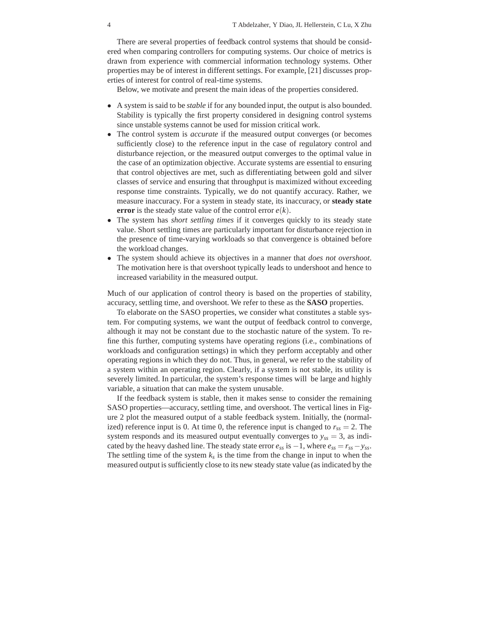There are several properties of feedback control systems that should be considered when comparing controllers for computing systems. Our choice of metrics is drawn from experience with commercial information technology systems. Other properties may be of interest in different settings. For example, [21] discusses properties of interest for control of real-time systems.

Below, we motivate and present the main ideas of the properties considered.

- A system is said to be *stable* if for any bounded input, the output is also bounded. Stability is typically the first property considered in designing control systems since unstable systems cannot be used for mission critical work.
- The control system is *accurate* if the measured output converges (or becomes sufficiently close) to the reference input in the case of regulatory control and disturbance rejection, or the measured output converges to the optimal value in the case of an optimization objective. Accurate systems are essential to ensuring that control objectives are met, such as differentiating between gold and silver classes of service and ensuring that throughput is maximized without exceeding response time constraints. Typically, we do not quantify accuracy. Rather, we measure inaccuracy. For a system in steady state, its inaccuracy, or **steady state error** is the steady state value of the control error  $e(k)$ .
- The system has *short settling times* if it converges quickly to its steady state value. Short settling times are particularly important for disturbance rejection in the presence of time-varying workloads so that convergence is obtained before the workload changes.
- The system should achieve its objectives in a manner that *does not overshoot*. The motivation here is that overshoot typically leads to undershoot and hence to increased variability in the measured output.

Much of our application of control theory is based on the properties of stability, accuracy, settling time, and overshoot. We refer to these as the **SASO** properties.

To elaborate on the SASO properties, we consider what constitutes a stable system. For computing systems, we want the output of feedback control to converge, although it may not be constant due to the stochastic nature of the system. To refine this further, computing systems have operating regions (i.e., combinations of workloads and configuration settings) in which they perform acceptably and other operating regions in which they do not. Thus, in general, we refer to the stability of a system within an operating region. Clearly, if a system is not stable, its utility is severely limited. In particular, the system's response times will be large and highly variable, a situation that can make the system unusable.

If the feedback system is stable, then it makes sense to consider the remaining SASO properties—accuracy, settling time, and overshoot. The vertical lines in Figure 2 plot the measured output of a stable feedback system. Initially, the (normalized) reference input is 0. At time 0, the reference input is changed to  $r_{ss} = 2$ . The system responds and its measured output eventually converges to  $y_{ss} = 3$ , as indicated by the heavy dashed line. The steady state error  $e_{ss}$  is  $-1$ , where  $e_{ss} = r_{ss} - y_{ss}$ . The settling time of the system  $k_s$  is the time from the change in input to when the measured output is sufficiently close to its new steady state value (as indicated by the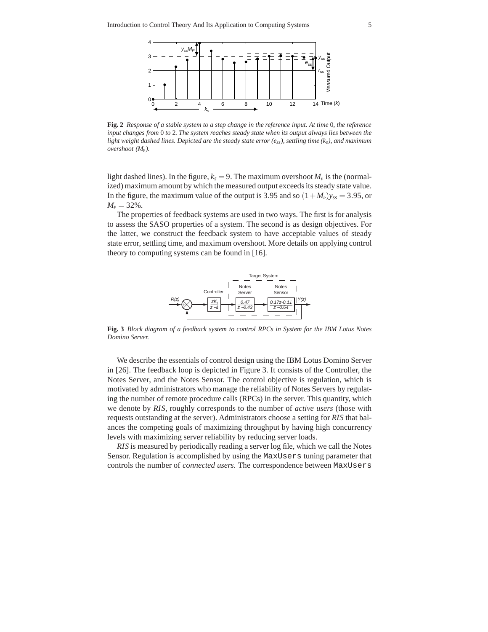

**Fig. 2** *Response of a stable system to a step change in the reference input. At time* 0*, the reference input changes from* 0 *to* 2*. The system reaches steady state when its output always lies between the light weight dashed lines. Depicted are the steady state error (ess), settling time (ks), and maximum overshoot* ( $M_{\rm P}$ ).

light dashed lines). In the figure,  $k_s = 9$ . The maximum overshoot  $M_p$  is the (normalized) maximum amount by which the measured output exceeds its steady state value. In the figure, the maximum value of the output is 3.95 and so  $(1+M<sub>P</sub>)y<sub>ss</sub> = 3.95$ , or  $M_P = 32\%$ .

The properties of feedback systems are used in two ways. The first is for analysis to assess the SASO properties of a system. The second is as design objectives. For the latter, we construct the feedback system to have acceptable values of steady state error, settling time, and maximum overshoot. More details on applying control theory to computing systems can be found in [16].



**Fig. 3** *Block diagram of a feedback system to control RPCs in System for the IBM Lotus Notes Domino Server.*

We describe the essentials of control design using the IBM Lotus Domino Server in [26]. The feedback loop is depicted in Figure 3. It consists of the Controller, the Notes Server, and the Notes Sensor. The control objective is regulation, which is motivated by administrators who manage the reliability of Notes Servers by regulating the number of remote procedure calls (RPCs) in the server. This quantity, which we denote by *RIS*, roughly corresponds to the number of *active users* (those with requests outstanding at the server). Administrators choose a setting for *RIS* that balances the competing goals of maximizing throughput by having high concurrency levels with maximizing server reliability by reducing server loads.

*RIS* is measured by periodically reading a server log file, which we call the Notes Sensor. Regulation is accomplished by using the MaxUsers tuning parameter that controls the number of *connected users*. The correspondence between MaxUsers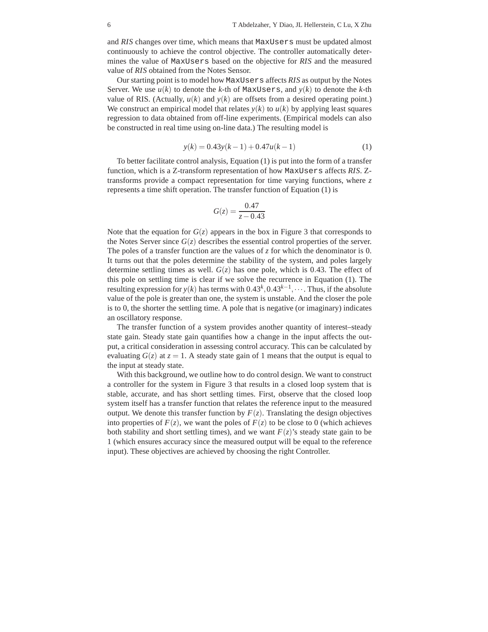and *RIS* changes over time, which means that MaxUsers must be updated almost continuously to achieve the control objective. The controller automatically determines the value of MaxUsers based on the objective for *RIS* and the measured value of *RIS* obtained from the Notes Sensor.

Our starting point is to model how MaxUsers affects *RIS* as output by the Notes Server. We use  $u(k)$  to denote the *k*-th of MaxUsers, and  $y(k)$  to denote the *k*-th value of RIS. (Actually,  $u(k)$  and  $y(k)$  are offsets from a desired operating point.) We construct an empirical model that relates  $y(k)$  to  $u(k)$  by applying least squares regression to data obtained from off-line experiments. (Empirical models can also be constructed in real time using on-line data.) The resulting model is

$$
y(k) = 0.43y(k-1) + 0.47u(k-1)
$$
\n(1)

To better facilitate control analysis, Equation (1) is put into the form of a transfer function, which is a Z-transform representation of how MaxUsers affects *RIS*. Ztransforms provide a compact representation for time varying functions, where *z* represents a time shift operation. The transfer function of Equation (1) is

$$
G(z) = \frac{0.47}{z - 0.43}
$$

Note that the equation for  $G(z)$  appears in the box in Figure 3 that corresponds to the Notes Server since  $G(z)$  describes the essential control properties of the server. The poles of a transfer function are the values of *z* for which the denominator is 0. It turns out that the poles determine the stability of the system, and poles largely determine settling times as well.  $G(z)$  has one pole, which is 0.43. The effect of this pole on settling time is clear if we solve the recurrence in Equation (1). The resulting expression for *y*(*k*) has terms with  $0.43^k, 0.43^{k-1}, \cdots$ . Thus, if the absolute value of the pole is greater than one, the system is unstable. And the closer the pole is to 0, the shorter the settling time. A pole that is negative (or imaginary) indicates an oscillatory response.

The transfer function of a system provides another quantity of interest–steady state gain. Steady state gain quantifies how a change in the input affects the output, a critical consideration in assessing control accuracy. This can be calculated by evaluating  $G(z)$  at  $z = 1$ . A steady state gain of 1 means that the output is equal to the input at steady state.

With this background, we outline how to do control design. We want to construct a controller for the system in Figure 3 that results in a closed loop system that is stable, accurate, and has short settling times. First, observe that the closed loop system itself has a transfer function that relates the reference input to the measured output. We denote this transfer function by  $F(z)$ . Translating the design objectives into properties of  $F(z)$ , we want the poles of  $F(z)$  to be close to 0 (which achieves both stability and short settling times), and we want  $F(z)$ 's steady state gain to be 1 (which ensures accuracy since the measured output will be equal to the reference input). These objectives are achieved by choosing the right Controller.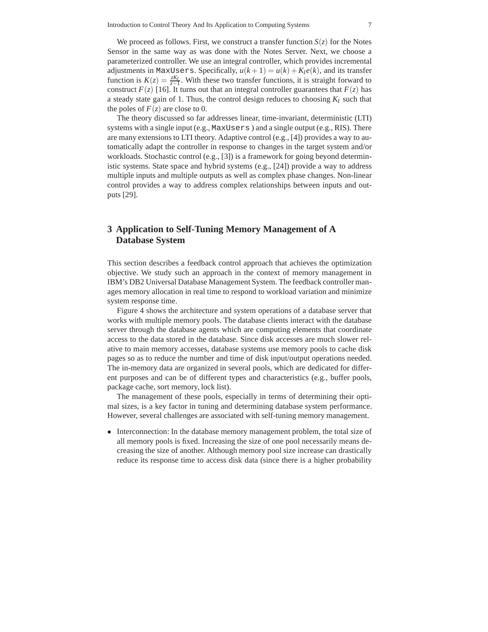We proceed as follows. First, we construct a transfer function  $S(z)$  for the Notes Sensor in the same way as was done with the Notes Server. Next, we choose a parameterized controller. We use an integral controller, which provides incremental adjustments in MaxUsers. Specifically,  $u(k+1) = u(k) + K_I e(k)$ , and its transfer function is  $K(z) = \frac{zK_I}{z-1}$ . With these two transfer functions, it is straight forward to construct  $F(z)$  [16]. It turns out that an integral controller guarantees that  $F(z)$  has a steady state gain of 1. Thus, the control design reduces to choosing  $K_I$  such that the poles of  $F(z)$  are close to 0.

The theory discussed so far addresses linear, time-invariant, deterministic (LTI) systems with a single input (e.g., MaxUsers ) and a single output (e.g., RIS). There are many extensions to LTI theory. Adaptive control (e.g., [4]) provides a way to automatically adapt the controller in response to changes in the target system and/or workloads. Stochastic control (e.g., [3]) is a framework for going beyond deterministic systems. State space and hybrid systems (e.g., [24]) provide a way to address multiple inputs and multiple outputs as well as complex phase changes. Non-linear control provides a way to address complex relationships between inputs and outputs [29].

## **3 Application to Self-Tuning Memory Management of A Database System**

This section describes a feedback control approach that achieves the optimization objective. We study such an approach in the context of memory management in IBM's DB2 Universal Database Management System. The feedback controller manages memory allocation in real time to respond to workload variation and minimize system response time.

Figure 4 shows the architecture and system operations of a database server that works with multiple memory pools. The database clients interact with the database server through the database agents which are computing elements that coordinate access to the data stored in the database. Since disk accesses are much slower relative to main memory accesses, database systems use memory pools to cache disk pages so as to reduce the number and time of disk input/output operations needed. The in-memory data are organized in several pools, which are dedicated for different purposes and can be of different types and characteristics (e.g., buffer pools, package cache, sort memory, lock list).

The management of these pools, especially in terms of determining their optimal sizes, is a key factor in tuning and determining database system performance. However, several challenges are associated with self-tuning memory management.

• Interconnection: In the database memory management problem, the total size of all memory pools is fixed. Increasing the size of one pool necessarily means decreasing the size of another. Although memory pool size increase can drastically reduce its response time to access disk data (since there is a higher probability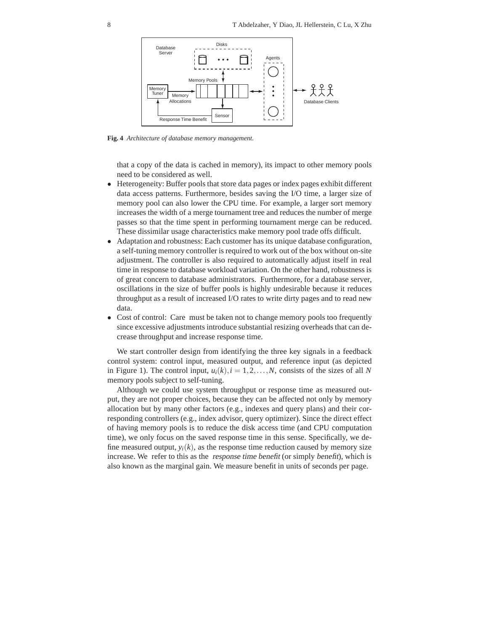

**Fig. 4** *Architecture of database memory management.*

that a copy of the data is cached in memory), its impact to other memory pools need to be considered as well.

- Heterogeneity: Buffer pools that store data pages or index pages exhibit different data access patterns. Furthermore, besides saving the I/O time, a larger size of memory pool can also lower the CPU time. For example, a larger sort memory increases the width of a merge tournament tree and reduces the number of merge passes so that the time spent in performing tournament merge can be reduced. These dissimilar usage characteristics make memory pool trade offs difficult.
- Adaptation and robustness: Each customer has its unique database configuration, a self-tuning memory controller is required to work out of the box without on-site adjustment. The controller is also required to automatically adjust itself in real time in response to database workload variation. On the other hand, robustness is of great concern to database administrators. Furthermore, for a database server, oscillations in the size of buffer pools is highly undesirable because it reduces throughput as a result of increased I/O rates to write dirty pages and to read new data.
- Cost of control: Care must be taken not to change memory pools too frequently since excessive adjustments introduce substantial resizing overheads that can decrease throughput and increase response time.

We start controller design from identifying the three key signals in a feedback control system: control input, measured output, and reference input (as depicted in Figure 1). The control input,  $u_i(k)$ ,  $i = 1, 2, ..., N$ , consists of the sizes of all *N* memory pools subject to self-tuning.

Although we could use system throughput or response time as measured output, they are not proper choices, because they can be affected not only by memory allocation but by many other factors (e.g., indexes and query plans) and their corresponding controllers (e.g., index advisor, query optimizer). Since the direct effect of having memory pools is to reduce the disk access time (and CPU computation time), we only focus on the saved response time in this sense. Specifically, we define measured output,  $y_i(k)$ , as the response time reduction caused by memory size increase. We refer to this as the *response time benefit* (or simply *benefit*), which is also known as the marginal gain. We measure benefit in units of seconds per page.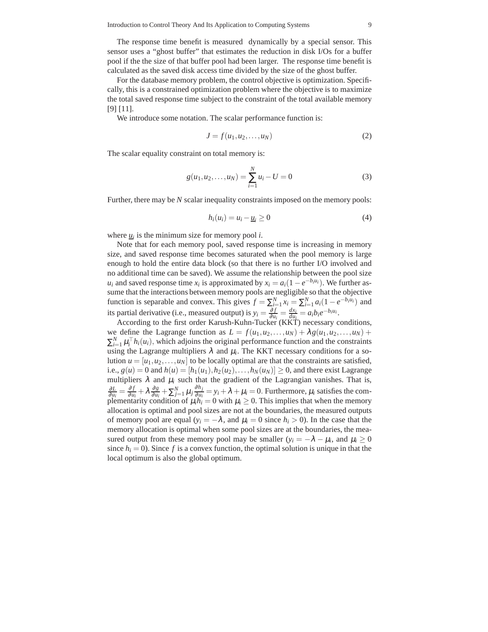For the database memory problem, the control objective is optimization. Specifically, this is a constrained optimization problem where the objective is to maximize the total saved response time subject to the constraint of the total available memory [9] [11].

calculated as the saved disk access time divided by the size of the ghost buffer.

We introduce some notation. The scalar performance function is:

$$
J = f(u_1, u_2, \dots, u_N) \tag{2}
$$

The scalar equality constraint on total memory is:

$$
g(u_1, u_2, \dots, u_N) = \sum_{i=1}^{N} u_i - U = 0
$$
 (3)

Further, there may be *N* scalar inequality constraints imposed on the memory pools:

$$
h_i(u_i) = u_i - \underline{u}_i \ge 0 \tag{4}
$$

where  $\underline{u}_i$  is the minimum size for memory pool *i*.

Note that for each memory pool, saved response time is increasing in memory size, and saved response time becomes saturated when the pool memory is large enough to hold the entire data block (so that there is no further I/O involved and no additional time can be saved). We assume the relationship between the pool size *u*<sup>*i*</sup> and saved response time *x*<sup>*i*</sup> is approximated by *x*<sup>*i*</sup> =  $a_i(1 - e^{-b_i u_i})$ . We further assume that the interactions between memory pools are negligible so that the objective function is separable and convex. This gives  $f = \sum_{i=1}^{N} x_i = \sum_{i=1}^{N} a_i (1 - e^{-b_i u_i})$  and its partial derivative (i.e., measured output) is  $y_i = \frac{\partial f}{\partial u_i}$  $\frac{\partial f}{\partial u_i} = \frac{dx_i}{du_i} = a_i b_i e^{-b_i u_i}.$ 

According to the first order Karush-Kuhn-Tucker (KKT) necessary conditions, we define the Lagrange function as  $L = f(u_1, u_2, \ldots, u_N) + \lambda g(u_1, u_2, \ldots, u_N) +$  $\sum_{i=1}^{N} \mu_i^{\top} h_i(u_i)$ , which adjoins the original performance function and the constraints using the Lagrange multipliers  $\lambda$  and  $\mu_i$ . The KKT necessary conditions for a solution  $u = [u_1, u_2, \dots, u_N]$  to be locally optimal are that the constraints are satisfied, i.e.,  $g(u) = 0$  and  $h(u) = [h_1(u_1), h_2(u_2), \ldots, h_N(u_N)] \geq 0$ , and there exist Lagrange multipliers  $\lambda$  and  $\mu_i$  such that the gradient of the Lagrangian vanishes. That is,  $\frac{\partial L}{\partial u_i} = \frac{\partial f}{\partial u}$  $\frac{\partial f}{\partial u_i} + \lambda \frac{\partial g}{\partial u_i}$  $\frac{\partial g}{\partial u_i} + \sum_{j=1}^N \mu_j \frac{\partial h_j}{\partial u_i}$  $\frac{\partial u_j}{\partial u_i} = y_i + \lambda + \mu_i = 0$ . Furthermore,  $\mu_i$  satisfies the complementarity condition of  $\mu_i h_i = 0$  with  $\mu_i \geq 0$ . This implies that when the memory allocation is optimal and pool sizes are not at the boundaries, the measured outputs of memory pool are equal ( $y_i = -\lambda$ , and  $\mu_i = 0$  since  $h_i > 0$ ). In the case that the memory allocation is optimal when some pool sizes are at the boundaries, the measured output from these memory pool may be smaller  $(y_i = -\lambda - \mu_i)$ , and  $\mu_i \geq 0$ since  $h_i = 0$ ). Since f is a convex function, the optimal solution is unique in that the local optimum is also the global optimum.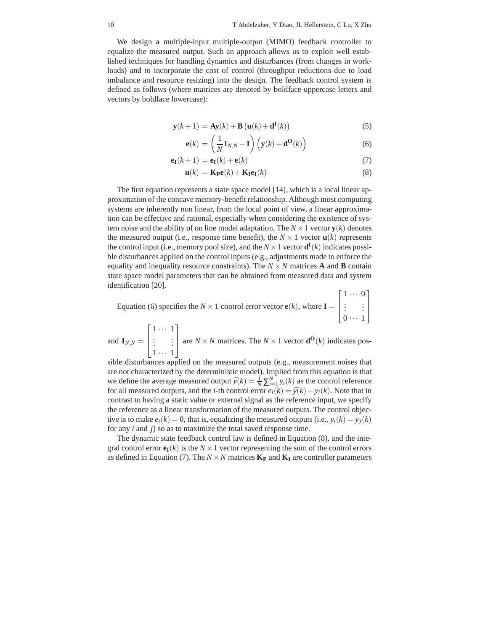We design a multiple-input multiple-output (MIMO) feedback controller to equalize the measured output. Such an approach allows us to exploit well established techniques for handling dynamics and disturbances (from changes in workloads) and to incorporate the cost of control (throughput reductions due to load imbalance and resource resizing) into the design. The feedback control system is defined as follows (where matrices are denoted by boldface uppercase letters and vectors by boldface lowercase):

$$
\mathbf{y}(k+1) = \mathbf{A}\mathbf{y}(k) + \mathbf{B}\left(\mathbf{u}(k) + \mathbf{d}^{\mathbf{I}}(k)\right) \tag{5}
$$

$$
\mathbf{e}(k) = \left(\frac{1}{N}\mathbf{1}_{N,N} - \mathbf{I}\right) \left(\mathbf{y}(k) + \mathbf{d}^{\mathbf{O}}(k)\right) \tag{6}
$$

$$
\mathbf{e}_{\mathbf{I}}(k+1) = \mathbf{e}_{\mathbf{I}}(k) + \mathbf{e}(k)
$$
 (7)

$$
\mathbf{u}(k) = \mathbf{K}_{\mathbf{P}}\mathbf{e}(k) + \mathbf{K}_{\mathbf{I}}\mathbf{e}_{\mathbf{I}}(k)
$$
 (8)

The first equation represents a state space model [14], which is a local linear approximation of the concave memory-benefit relationship. Although most computing systems are inherently non linear, from the local point of view, a linear approximation can be effective and rational, especially when considering the existence of system noise and the ability of on line model adaptation. The  $N \times 1$  vector  $y(k)$  denotes the measured output (i.e., response time benefit), the  $N \times 1$  vector  $\mathbf{u}(k)$  represents the control input (i.e., memory pool size), and the  $N \times 1$  vector  $\mathbf{d}^{I}(k)$  indicates possible disturbances applied on the control inputs (e.g., adjustments made to enforce the equality and inequality resource constraints). The  $N \times N$  matrices **A** and **B** contain state space model parameters that can be obtained from measured data and system identification [20].

Equation (6) specifies the 
$$
N \times 1
$$
 control error vector  $\mathbf{e}(k)$ , where  $\mathbf{I} = \begin{bmatrix} 1 & \cdots & 0 \\ \vdots & \vdots \\ 0 & \cdots & 1 \end{bmatrix}$ 

and  $\mathbf{1}_{N,N} =$  $\sqrt{ }$  $\Big\}$  $1 \cdots 1$  $\vdots$  :  $1 \cdots 1$ 1  $\begin{array}{c} \hline \end{array}$ are  $N \times N$  matrices. The  $N \times 1$  vector  $\mathbf{d}^{\mathbf{O}}(k)$  indicates pos-

sible disturbances applied on the measured outputs (e.g., measurement noises that are not characterized by the deterministic model). Implied from this equation is that we define the average measured output  $\bar{y}(k) = \frac{1}{N} \sum_{i=1}^{N} y_i(k)$  as the control reference for all measured outputs, and the *i*-th control error  $e_i(k) = \bar{y}(k) - y_i(k)$ . Note that in contrast to having a static value or external signal as the reference input, we specify the reference as a linear transformation of the measured outputs. The control objective is to make  $e_i(k) = 0$ , that is, equalizing the measured outputs (i.e.,  $y_i(k) = y_i(k)$ for any *i* and *j*) so as to maximize the total saved response time.

The dynamic state feedback control law is defined in Equation (8), and the integral control error  $\mathbf{e}_{\mathbf{I}}(k)$  is the  $N \times 1$  vector representing the sum of the control errors as defined in Equation (7). The  $N \times N$  matrices  $\mathbf{K}_{P}$  and  $\mathbf{K}_{I}$  are controller parameters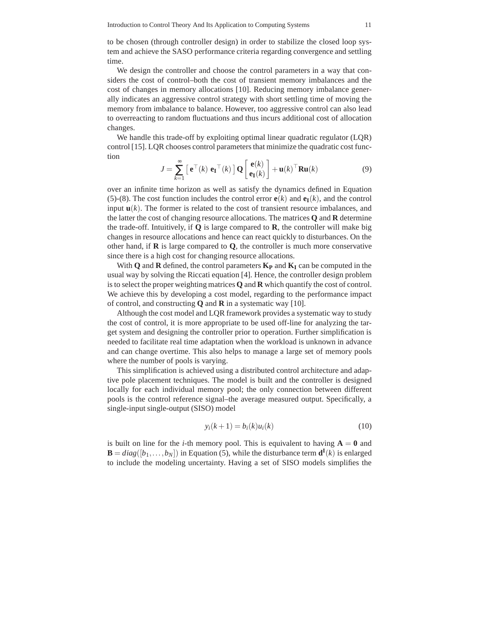to be chosen (through controller design) in order to stabilize the closed loop system and achieve the SASO performance criteria regarding convergence and settling time.

We design the controller and choose the control parameters in a way that considers the cost of control–both the cost of transient memory imbalances and the cost of changes in memory allocations [10]. Reducing memory imbalance generally indicates an aggressive control strategy with short settling time of moving the memory from imbalance to balance. However, too aggressive control can also lead to overreacting to random fluctuations and thus incurs additional cost of allocation changes.

We handle this trade-off by exploiting optimal linear quadratic regulator (LQR) control [15]. LQR chooses control parameters that minimize the quadratic cost function

$$
J = \sum_{k=1}^{\infty} \left[ \mathbf{e}^{\top}(k) \mathbf{e}_{\mathbf{I}}^{\top}(k) \right] \mathbf{Q} \begin{bmatrix} \mathbf{e}(k) \\ \mathbf{e}_{\mathbf{I}}(k) \end{bmatrix} + \mathbf{u}(k)^{\top} \mathbf{R} \mathbf{u}(k)
$$
(9)

over an infinite time horizon as well as satisfy the dynamics defined in Equation (5)-(8). The cost function includes the control error  $e(k)$  and  $e_{I}(k)$ , and the control input  $\mathbf{u}(k)$ . The former is related to the cost of transient resource imbalances, and the latter the cost of changing resource allocations. The matrices **Q** and **R** determine the trade-off. Intuitively, if **Q** is large compared to **R**, the controller will make big changes in resource allocations and hence can react quickly to disturbances. On the other hand, if **R** is large compared to **Q**, the controller is much more conservative since there is a high cost for changing resource allocations.

With **Q** and **R** defined, the control parameters **K<sup>P</sup>** and **K<sup>I</sup>** can be computed in the usual way by solving the Riccati equation [4]. Hence, the controller design problem is to select the proper weighting matrices **Q** and **R** which quantify the cost of control. We achieve this by developing a cost model, regarding to the performance impact of control, and constructing **Q** and **R** in a systematic way [10].

Although the cost model and LQR framework provides a systematic way to study the cost of control, it is more appropriate to be used off-line for analyzing the target system and designing the controller prior to operation. Further simplification is needed to facilitate real time adaptation when the workload is unknown in advance and can change overtime. This also helps to manage a large set of memory pools where the number of pools is varying.

This simplification is achieved using a distributed control architecture and adaptive pole placement techniques. The model is built and the controller is designed locally for each individual memory pool; the only connection between different pools is the control reference signal–the average measured output. Specifically, a single-input single-output (SISO) model

$$
y_i(k+1) = b_i(k)u_i(k)
$$
\n
$$
(10)
$$

is built on line for the *i*-th memory pool. This is equivalent to having  $A = 0$  and  $\mathbf{B} = diag([b_1, \ldots, b_N])$  in Equation (5), while the disturbance term  $\mathbf{d}^{\mathbf{I}}(k)$  is enlarged to include the modeling uncertainty. Having a set of SISO models simplifies the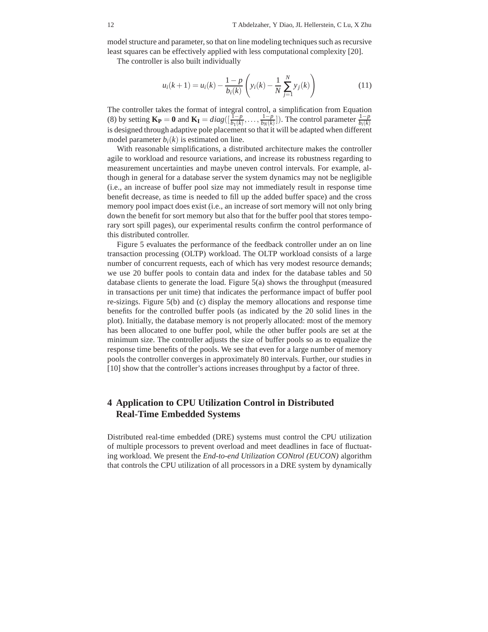model structure and parameter, so that on line modeling techniques such as recursive least squares can be effectively applied with less computational complexity [20].

The controller is also built individually

$$
u_i(k+1) = u_i(k) - \frac{1-p}{b_i(k)} \left( y_i(k) - \frac{1}{N} \sum_{j=1}^{N} y_j(k) \right)
$$
 (11)

The controller takes the format of integral control, a simplification from Equation (8) by setting  $\mathbf{K}_{\mathbf{P}} = \mathbf{0}$  and  $\mathbf{K}_{\mathbf{I}} = diag([\frac{1-p}{b_1(k)}, \dots, \frac{1-p}{b_N(k)}])$ (8) by setting  $\mathbf{K}_{\mathbf{P}} = \mathbf{0}$  and  $\mathbf{K}_{\mathbf{I}} = diag([\frac{1-p}{b_1(k)}, \dots, \frac{1-p}{b_N(k)}])$ . The control parameter  $\frac{1-p}{b_i(k)}$  is designed through adaptive pole placement so that it will be adapted when different model parameter  $b_i(k)$  is estimated on line.

With reasonable simplifications, a distributed architecture makes the controller agile to workload and resource variations, and increase its robustness regarding to measurement uncertainties and maybe uneven control intervals. For example, although in general for a database server the system dynamics may not be negligible (i.e., an increase of buffer pool size may not immediately result in response time benefit decrease, as time is needed to fill up the added buffer space) and the cross memory pool impact does exist (i.e., an increase of sort memory will not only bring down the benefit for sort memory but also that for the buffer pool that stores temporary sort spill pages), our experimental results confirm the control performance of this distributed controller.

Figure 5 evaluates the performance of the feedback controller under an on line transaction processing (OLTP) workload. The OLTP workload consists of a large number of concurrent requests, each of which has very modest resource demands; we use 20 buffer pools to contain data and index for the database tables and 50 database clients to generate the load. Figure 5(a) shows the throughput (measured in transactions per unit time) that indicates the performance impact of buffer pool re-sizings. Figure 5(b) and (c) display the memory allocations and response time benefits for the controlled buffer pools (as indicated by the 20 solid lines in the plot). Initially, the database memory is not properly allocated: most of the memory has been allocated to one buffer pool, while the other buffer pools are set at the minimum size. The controller adjusts the size of buffer pools so as to equalize the response time benefits of the pools. We see that even for a large number of memory pools the controller converges in approximately 80 intervals. Further, our studies in [10] show that the controller's actions increases throughput by a factor of three.

## **4 Application to CPU Utilization Control in Distributed Real-Time Embedded Systems**

Distributed real-time embedded (DRE) systems must control the CPU utilization of multiple processors to prevent overload and meet deadlines in face of fluctuating workload. We present the *End-to-end Utilization CONtrol (EUCON)* algorithm that controls the CPU utilization of all processors in a DRE system by dynamically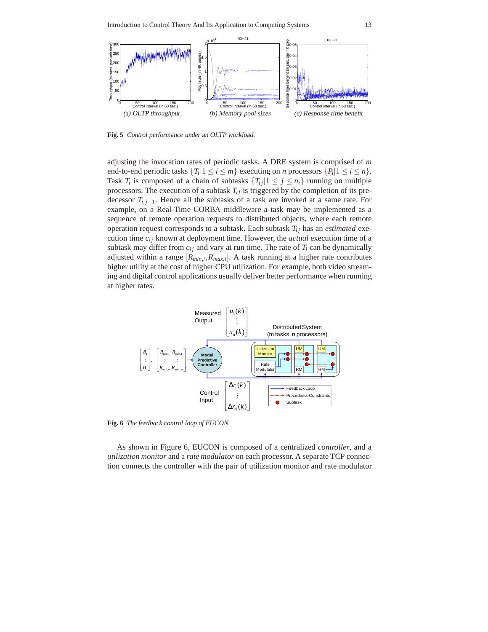

**Fig. 5** Control performance under an OLTP workload.

adjusting the invocation rates of periodic tasks. A DRE system is comprised of *m* end-to-end periodic tasks  ${T_i | 1 \le i \le m}$  executing on *n* processors  ${P_i | 1 \le i \le n}$ . Task  $T_i$  is composed of a chain of subtasks  $\{T_{ij}|1 \leq j \leq n_i\}$  running on multiple processors. The execution of a subtask  $T_{ij}$  is triggered by the completion of its predecessor  $T_{i,j-1}$ . Hence all the subtasks of a task are invoked at a same rate. For example, on a Real-Time CORBA middleware a task may be implemented as a sequence of remote operation requests to distributed objects, where each remote operation request corresponds to a subtask. Each subtask  $T_{ij}$  has an *estimated* execution time  $c_{ij}$  known at deployment time. However, the *actual* execution time of a subtask may differ from  $c_{ij}$  and vary at run time. The rate of  $T_i$  can be dynamically adjusted within a range [*Rmin*,*<sup>i</sup>* ,*Rmax*,*<sup>i</sup>* ]. A task running at a higher rate contributes higher utility at the cost of higher CPU utilization. For example, both video streaming and digital control applications usually deliver better performance when running at higher rates.



**Fig. 6** *The feedback control loop of EUCON.*

As shown in Figure 6, EUCON is composed of a centralized *controller*, and a *utilization monitor* and a *rate modulator* on each processor. A separate TCP connection connects the controller with the pair of utilization monitor and rate modulator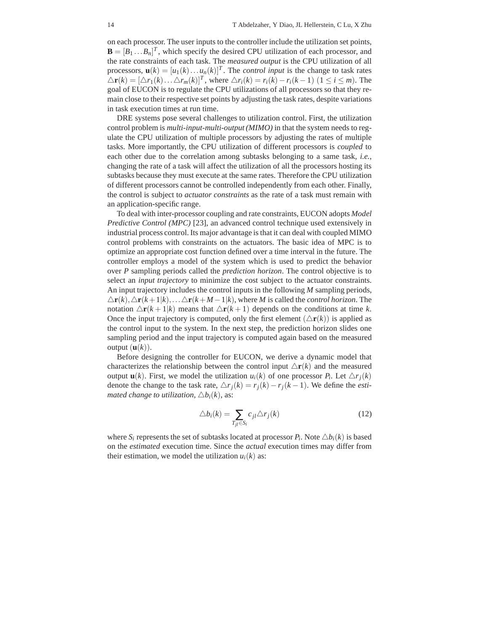on each processor. The user inputs to the controller include the utilization set points, **, which specify the desired CPU utilization of each processor, and** the rate constraints of each task. The *measured output* is the CPU utilization of all processors,  $\mathbf{u}(k) = [u_1(k) \dots u_n(k)]^T$ . The *control input* is the change to task rates  $\Delta$ **r**(*k*) =  $[\Delta r_1(k) \dots \Delta r_m(k)]^T$ , where  $\Delta r_i(k) = r_i(k) - r_i(k-1)$  (1 ≤ *i* ≤ *m*). The goal of EUCON is to regulate the CPU utilizations of all processors so that they remain close to their respective set points by adjusting the task rates, despite variations in task execution times at run time.

DRE systems pose several challenges to utilization control. First, the utilization control problem is *multi-input-multi-output (MIMO)* in that the system needs to regulate the CPU utilization of multiple processors by adjusting the rates of multiple tasks. More importantly, the CPU utilization of different processors is *coupled* to each other due to the correlation among subtasks belonging to a same task, *i.e.*, changing the rate of a task will affect the utilization of all the processors hosting its subtasks because they must execute at the same rates. Therefore the CPU utilization of different processors cannot be controlled independently from each other. Finally, the control is subject to *actuator constraints* as the rate of a task must remain with an application-specific range.

To deal with inter-processor coupling and rate constraints, EUCON adopts *Model Predictive Control (MPC)* [23], an advanced control technique used extensively in industrial process control. Its major advantage is that it can deal with coupled MIMO control problems with constraints on the actuators. The basic idea of MPC is to optimize an appropriate cost function defined over a time interval in the future. The controller employs a model of the system which is used to predict the behavior over *P* sampling periods called the *prediction horizon*. The control objective is to select an *input trajectory* to minimize the cost subject to the actuator constraints. An input trajectory includes the control inputs in the following *M* sampling periods,  $\Delta$ **r**(*k*),  $\Delta$ **r**(*k*+1|*k*),... $\Delta$ **r**(*k*+*M* −1|*k*), where *M* is called the *control horizon*. The notation  $\Delta \mathbf{r}(k+1|k)$  means that  $\Delta \mathbf{r}(k+1)$  depends on the conditions at time k. Once the input trajectory is computed, only the first element  $(\Delta \mathbf{r}(k))$  is applied as the control input to the system. In the next step, the prediction horizon slides one sampling period and the input trajectory is computed again based on the measured output  $({\bf u}(k))$ .

Before designing the controller for EUCON, we derive a dynamic model that characterizes the relationship between the control input  $\Delta r(k)$  and the measured output  $\mathbf{u}(k)$ . First, we model the utilization  $u_i(k)$  of one processor  $P_i$ . Let  $\Delta r_j(k)$ denote the change to the task rate,  $\Delta r_i(k) = r_i(k) - r_i(k-1)$ . We define the *estimated change to utilization*,  $\triangle b_i(k)$ , as:

$$
\triangle b_i(k) = \sum_{T_{jl} \in S_i} c_{jl} \triangle r_j(k) \tag{12}
$$

where  $S_i$  represents the set of subtasks located at processor  $P_i$ . Note  $\triangle b_i(k)$  is based on the *estimated* execution time. Since the *actual* execution times may differ from their estimation, we model the utilization  $u_i(k)$  as: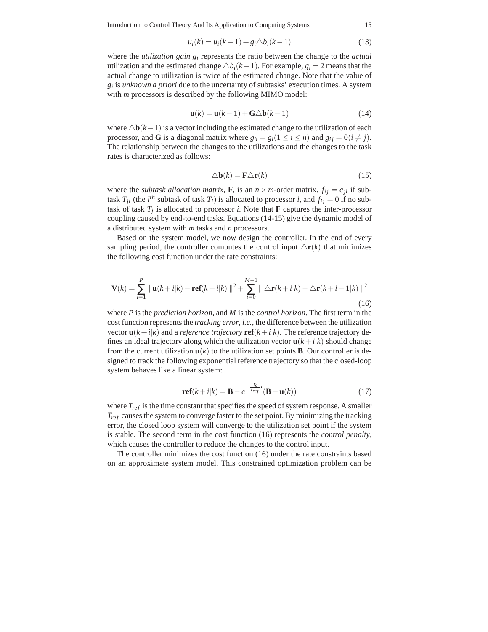Introduction to Control Theory And Its Application to Computing Systems 15

$$
u_i(k) = u_i(k-1) + g_i \triangle b_i(k-1)
$$
\n(13)

where the *utilization gain g<sup>i</sup>* represents the ratio between the change to the *actual* utilization and the estimated change  $\Delta b_i(k-1)$ . For example,  $g_i = 2$  means that the actual change to utilization is twice of the estimated change. Note that the value of *gi* is *unknown a priori* due to the uncertainty of subtasks' execution times. A system with *m* processors is described by the following MIMO model:

$$
\mathbf{u}(k) = \mathbf{u}(k-1) + \mathbf{G}\triangle\mathbf{b}(k-1)
$$
 (14)

where  $\Delta$ **b**( $k-1$ ) is a vector including the estimated change to the utilization of each processor, and **G** is a diagonal matrix where  $g_{ii} = g_i(1 \le i \le n)$  and  $g_{ii} = 0(i \ne j)$ . The relationship between the changes to the utilizations and the changes to the task rates is characterized as follows:

$$
\Delta \mathbf{b}(k) = \mathbf{F} \Delta \mathbf{r}(k) \tag{15}
$$

where the *subtask allocation matrix*, **F**, is an  $n \times m$ -order matrix.  $f_{ij} = c_{jl}$  if subtask  $T_{jl}$  (the *l*<sup>th</sup> subtask of task  $T_j$ ) is allocated to processor *i*, and  $f_{ij} = 0$  if no subtask of task  $T_j$  is allocated to processor *i*. Note that  $\mathbf{F}$  captures the inter-processor coupling caused by end-to-end tasks. Equations (14-15) give the dynamic model of a distributed system with *m* tasks and *n* processors.

Based on the system model, we now design the controller. In the end of every sampling period, the controller computes the control input  $\Delta \mathbf{r}(k)$  that minimizes the following cost function under the rate constraints:

$$
\mathbf{V}(k) = \sum_{i=1}^{P} ||\mathbf{u}(k+i|k) - \mathbf{ref}(k+i|k)||^{2} + \sum_{i=0}^{M-1} ||\triangle \mathbf{r}(k+i|k) - \triangle \mathbf{r}(k+i-1|k)||^{2}
$$
\n(16)

where *P* is the *prediction horizon*, and *M* is the *control horizon*. The first term in the cost function represents the *tracking error*, *i.e.*, the difference between the utilization vector  $\mathbf{u}(k+i|k)$  and a *reference trajectory*  $\mathbf{ref}(k+i|k)$ . The reference trajectory defines an ideal trajectory along which the utilization vector  $\mathbf{u}(k+i|k)$  should change from the current utilization  $\mathbf{u}(k)$  to the utilization set points **B**. Our controller is designed to track the following exponential reference trajectory so that the closed-loop system behaves like a linear system:

$$
\mathbf{ref}(k+i|k) = \mathbf{B} - e^{-\frac{T_x}{T_{ref}}i}(\mathbf{B} - \mathbf{u}(k))
$$
\n(17)

where  $T_{ref}$  is the time constant that specifies the speed of system response. A smaller *T<sub>ref</sub>* causes the system to converge faster to the set point. By minimizing the tracking error, the closed loop system will converge to the utilization set point if the system is stable. The second term in the cost function (16) represents the *control penalty*, which causes the controller to reduce the changes to the control input.

The controller minimizes the cost function (16) under the rate constraints based on an approximate system model. This constrained optimization problem can be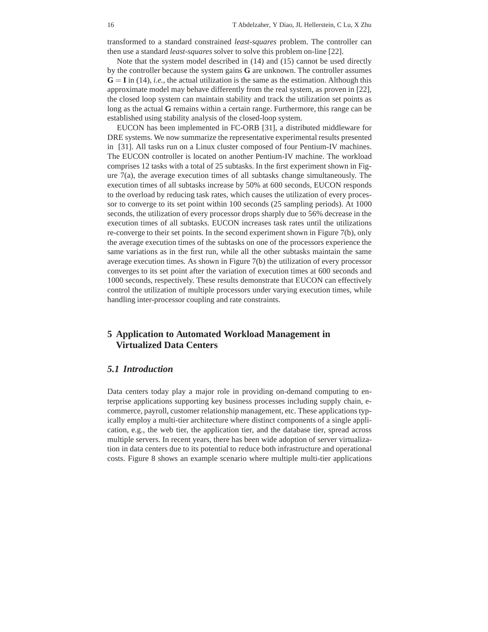transformed to a standard constrained *least-squares* problem. The controller can then use a standard *least-squares* solver to solve this problem on-line [22].

Note that the system model described in (14) and (15) cannot be used directly by the controller because the system gains **G** are unknown. The controller assumes  $\mathbf{G} = \mathbf{I}$  in (14), *i.e.*, the actual utilization is the same as the estimation. Although this approximate model may behave differently from the real system, as proven in [22], the closed loop system can maintain stability and track the utilization set points as long as the actual **G** remains within a certain range. Furthermore, this range can be established using stability analysis of the closed-loop system.

EUCON has been implemented in FC-ORB [31], a distributed middleware for DRE systems. We now summarize the representative experimental results presented in [31]. All tasks run on a Linux cluster composed of four Pentium-IV machines. The EUCON controller is located on another Pentium-IV machine. The workload comprises 12 tasks with a total of 25 subtasks. In the first experiment shown in Figure 7(a), the average execution times of all subtasks change simultaneously. The execution times of all subtasks increase by 50% at 600 seconds, EUCON responds to the overload by reducing task rates, which causes the utilization of every processor to converge to its set point within 100 seconds (25 sampling periods). At 1000 seconds, the utilization of every processor drops sharply due to 56% decrease in the execution times of all subtasks. EUCON increases task rates until the utilizations re-converge to their set points. In the second experiment shown in Figure 7(b), only the average execution times of the subtasks on one of the processors experience the same variations as in the first run, while all the other subtasks maintain the same average execution times. As shown in Figure 7(b) the utilization of every processor converges to its set point after the variation of execution times at 600 seconds and 1000 seconds, respectively. These results demonstrate that EUCON can effectively control the utilization of multiple processors under varying execution times, while handling inter-processor coupling and rate constraints.

## **5 Application to Automated Workload Management in Virtualized Data Centers**

#### *5.1 Introduction*

Data centers today play a major role in providing on-demand computing to enterprise applications supporting key business processes including supply chain, ecommerce, payroll, customer relationship management, etc. These applications typically employ a multi-tier architecture where distinct components of a single application, e.g., the web tier, the application tier, and the database tier, spread across multiple servers. In recent years, there has been wide adoption of server virtualization in data centers due to its potential to reduce both infrastructure and operational costs. Figure 8 shows an example scenario where multiple multi-tier applications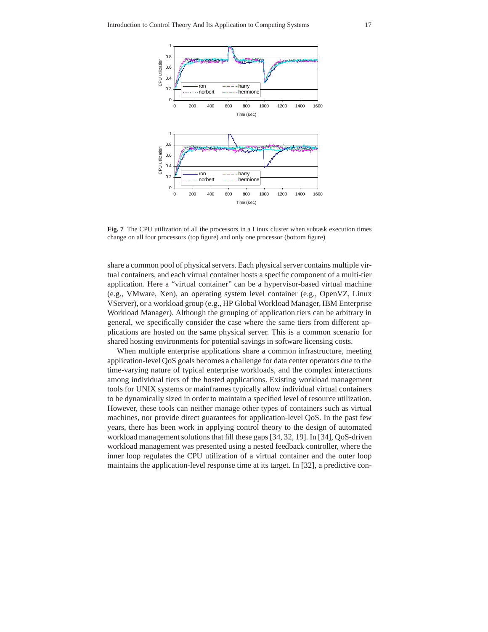

**Fig. 7** The CPU utilization of all the processors in a Linux cluster when subtask execution times change on all four processors (top figure) and only one processor (bottom figure)

share a common pool of physical servers. Each physical server contains multiple virtual containers, and each virtual container hosts a specific component of a multi-tier application. Here a "virtual container" can be a hypervisor-based virtual machine (e.g., VMware, Xen), an operating system level container (e.g., OpenVZ, Linux VServer), or a workload group (e.g., HP Global Workload Manager, IBM Enterprise Workload Manager). Although the grouping of application tiers can be arbitrary in general, we specifically consider the case where the same tiers from different applications are hosted on the same physical server. This is a common scenario for shared hosting environments for potential savings in software licensing costs.

When multiple enterprise applications share a common infrastructure, meeting application-level QoS goals becomes a challenge for data center operators due to the time-varying nature of typical enterprise workloads, and the complex interactions among individual tiers of the hosted applications. Existing workload management tools for UNIX systems or mainframes typically allow individual virtual containers to be dynamically sized in order to maintain a specified level of resource utilization. However, these tools can neither manage other types of containers such as virtual machines, nor provide direct guarantees for application-level QoS. In the past few years, there has been work in applying control theory to the design of automated workload management solutions that fill these gaps [34, 32, 19]. In [34], QoS-driven workload management was presented using a nested feedback controller, where the inner loop regulates the CPU utilization of a virtual container and the outer loop maintains the application-level response time at its target. In [32], a predictive con-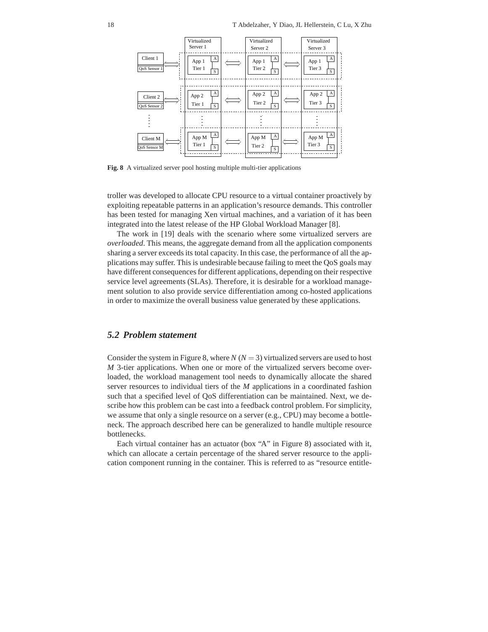

Fig. 8 A virtualized server pool hosting multiple multi-tier applications

troller was developed to allocate CPU resource to a virtual container proactively by exploiting repeatable patterns in an application's resource demands. This controller has been tested for managing Xen virtual machines, and a variation of it has been integrated into the latest release of the HP Global Workload Manager [8].

The work in [19] deals with the scenario where some virtualized servers are *overloaded*. This means, the aggregate demand from all the application components sharing a server exceeds its total capacity. In this case, the performance of all the applications may suffer. This is undesirable because failing to meet the QoS goals may have different consequences for different applications, depending on their respective service level agreements (SLAs). Therefore, it is desirable for a workload management solution to also provide service differentiation among co-hosted applications in order to maximize the overall business value generated by these applications.

#### *5.2 Problem statement*

Consider the system in Figure 8, where  $N(N=3)$  virtualized servers are used to host *M* 3-tier applications. When one or more of the virtualized servers become overloaded, the workload management tool needs to dynamically allocate the shared server resources to individual tiers of the *M* applications in a coordinated fashion such that a specified level of QoS differentiation can be maintained. Next, we describe how this problem can be cast into a feedback control problem. For simplicity, we assume that only a single resource on a server (e.g., CPU) may become a bottleneck. The approach described here can be generalized to handle multiple resource bottlenecks.

Each virtual container has an actuator (box "A" in Figure 8) associated with it, which can allocate a certain percentage of the shared server resource to the application component running in the container. This is referred to as "resource entitle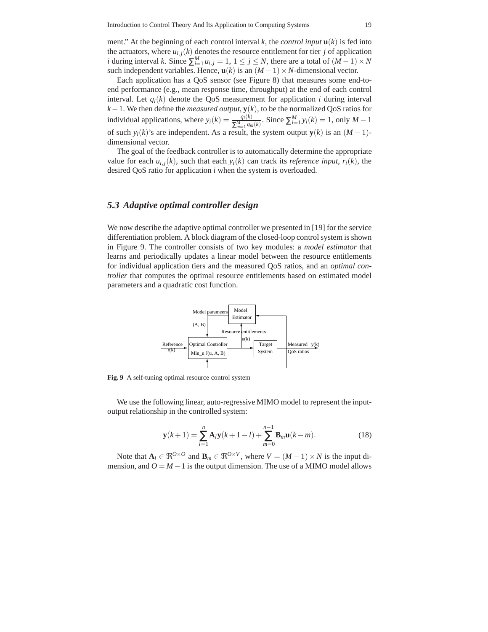ment." At the beginning of each control interval *k*, the *control input* **u**(*k*) is fed into the actuators, where  $u_{i,j}(k)$  denotes the resource entitlement for tier *j* of application *i* during interval *k*. Since  $\sum_{i=1}^{M} u_{i,j} = 1, 1 \le j \le N$ , there are a total of  $(M-1) \times N$ such independent variables. Hence,  $\mathbf{u}(k)$  is an  $(M - 1) \times N$ -dimensional vector.

Each application has a QoS sensor (see Figure 8) that measures some end-toend performance (e.g., mean response time, throughput) at the end of each control interval. Let  $q_i(k)$  denote the QoS measurement for application *i* during interval *k*−1. We then define the *measured output*, **y**(*k*), to be the normalized QoS ratios for individual applications, where  $y_i(k) = \frac{q_i(k)}{\sum_{m=1}^M q_m(k)}$ . Since  $\sum_{i=1}^M y_i(k) = 1$ , only  $M - 1$ of such  $y_i(k)$ 's are independent. As a result, the system output  $y(k)$  is an  $(M - 1)$ dimensional vector.

The goal of the feedback controller is to automatically determine the appropriate value for each  $u_{i,j}(k)$ , such that each  $y_i(k)$  can track its *reference input*,  $r_i(k)$ , the desired QoS ratio for application *i* when the system is overloaded.

#### *5.3 Adaptive optimal controller design*

We now describe the adaptive optimal controller we presented in [19] for the service differentiation problem. A block diagram of the closed-loop control system is shown in Figure 9. The controller consists of two key modules: a *model estimator* that learns and periodically updates a linear model between the resource entitlements for individual application tiers and the measured QoS ratios, and an *optimal controller* that computes the optimal resource entitlements based on estimated model parameters and a quadratic cost function.



**Fig. 9** A self-tuning optimal resource control system

We use the following linear, auto-regressive MIMO model to represent the inputoutput relationship in the controlled system:

$$
\mathbf{y}(k+1) = \sum_{l=1}^{n} \mathbf{A}_l \mathbf{y}(k+1-l) + \sum_{m=0}^{n-1} \mathbf{B}_m \mathbf{u}(k-m).
$$
 (18)

Note that  $A_l \in \mathfrak{R}^{O \times O}$  and  $B_m \in \mathfrak{R}^{O \times V}$ , where  $V = (M - 1) \times N$  is the input dimension, and  $O = M - 1$  is the output dimension. The use of a MIMO model allows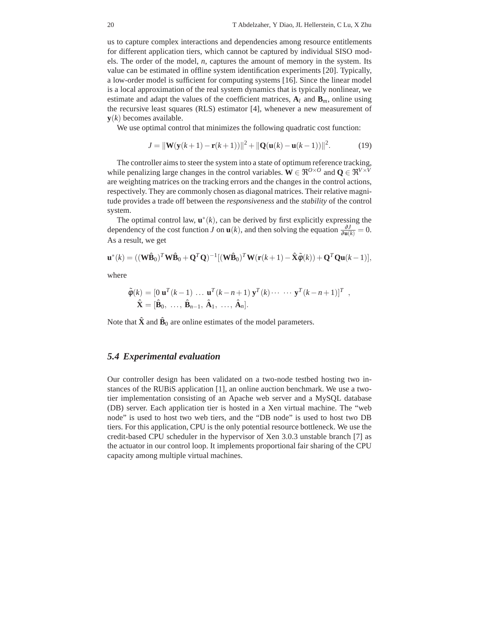us to capture complex interactions and dependencies among resource entitlements for different application tiers, which cannot be captured by individual SISO models. The order of the model, *n*, captures the amount of memory in the system. Its value can be estimated in offline system identification experiments [20]. Typically, a low-order model is sufficient for computing systems [16]. Since the linear model is a local approximation of the real system dynamics that is typically nonlinear, we estimate and adapt the values of the coefficient matrices,  $A_l$  and  $B_m$ , online using the recursive least squares (RLS) estimator [4], whenever a new measurement of **y**(*k*) becomes available.

We use optimal control that minimizes the following quadratic cost function:

$$
J = ||\mathbf{W}(\mathbf{y}(k+1) - \mathbf{r}(k+1))||^{2} + ||\mathbf{Q}(\mathbf{u}(k) - \mathbf{u}(k-1))||^{2}.
$$
 (19)

The controller aims to steer the system into a state of optimum reference tracking, while penalizing large changes in the control variables.  $W \in \mathbb{R}^{O \times O}$  and  $Q \in \mathbb{R}^{V \times V}$ are weighting matrices on the tracking errors and the changes in the control actions, respectively. They are commonly chosen as diagonal matrices. Their relative magnitude provides a trade off between the *responsiveness* and the *stability* of the control system.

The optimal control law,  $\mathbf{u}^*(k)$ , can be derived by first explicitly expressing the dependency of the cost function *J* on **u**(*k*), and then solving the equation  $\frac{\partial J}{\partial \mathbf{u}(k)} = 0$ . As a result, we get

$$
\mathbf{u}^*(k) = ((\mathbf{W}\hat{\mathbf{B}}_0)^T \mathbf{W}\hat{\mathbf{B}}_0 + \mathbf{Q}^T \mathbf{Q})^{-1} [(\mathbf{W}\hat{\mathbf{B}}_0)^T \mathbf{W}(\mathbf{r}(k+1) - \mathbf{\hat{X}}\tilde{\boldsymbol{\phi}}(k)) + \mathbf{Q}^T \mathbf{Q}\mathbf{u}(k-1)],
$$

where

$$
\widetilde{\phi}(k) = \left[0 \mathbf{u}^T(k-1) \dots \mathbf{u}^T(k-n+1) \mathbf{y}^T(k) \dots \dots \mathbf{y}^T(k-n+1)\right]^T ,
$$
  

$$
\widehat{\mathbf{X}} = [\widehat{\mathbf{B}}_0, \dots, \widehat{\mathbf{B}}_{n-1}, \widehat{\mathbf{A}}_1, \dots, \widehat{\mathbf{A}}_n].
$$

Note that  $\hat{\mathbf{X}}$  and  $\hat{\mathbf{B}}_0$  are online estimates of the model parameters.

#### *5.4 Experimental evaluation*

Our controller design has been validated on a two-node testbed hosting two instances of the RUBiS application [1], an online auction benchmark. We use a twotier implementation consisting of an Apache web server and a MySQL database (DB) server. Each application tier is hosted in a Xen virtual machine. The "web node" is used to host two web tiers, and the "DB node" is used to host two DB tiers. For this application, CPU is the only potential resource bottleneck. We use the credit-based CPU scheduler in the hypervisor of Xen 3.0.3 unstable branch [7] as the actuator in our control loop. It implements proportional fair sharing of the CPU capacity among multiple virtual machines.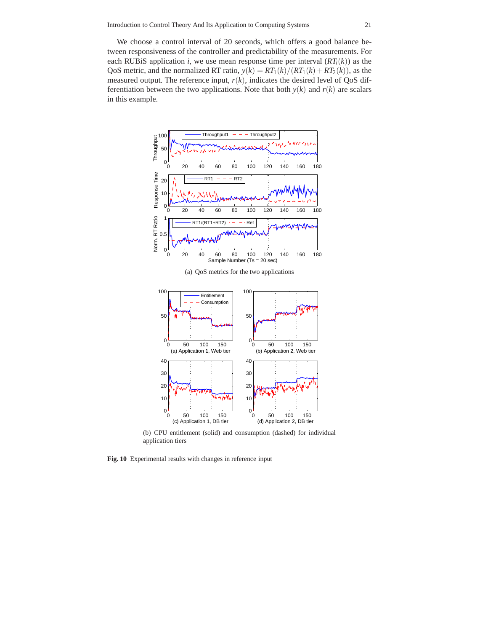We choose a control interval of 20 seconds, which offers a good balance between responsiveness of the controller and predictability of the measurements. For each RUBiS application *i*, we use mean response time per interval  $(RT_i(k))$  as the QoS metric, and the normalized RT ratio,  $y(k) = RT_1(k)/(RT_1(k) + RT_2(k))$ , as the measured output. The reference input,  $r(k)$ , indicates the desired level of QoS differentiation between the two applications. Note that both  $y(k)$  and  $r(k)$  are scalars in this example.



(a) QoS metrics for the two applications



(b) CPU entitlement (solid) and consumption (dashed) for individual application tiers

**Fig. 10** Experimental results with changes in reference input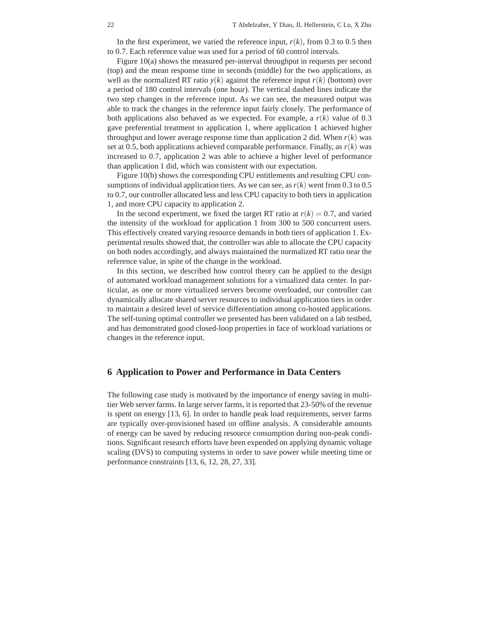In the first experiment, we varied the reference input,  $r(k)$ , from 0.3 to 0.5 then to 0.7. Each reference value was used for a period of 60 control intervals.

Figure 10(a) shows the measured per-interval throughput in requests per second (top) and the mean response time in seconds (middle) for the two applications, as well as the normalized RT ratio  $y(k)$  against the reference input  $r(k)$  (bottom) over a period of 180 control intervals (one hour). The vertical dashed lines indicate the two step changes in the reference input. As we can see, the measured output was able to track the changes in the reference input fairly closely. The performance of both applications also behaved as we expected. For example, a *r*(*k*) value of 0.3 gave preferential treatment to application 1, where application 1 achieved higher throughput and lower average response time than application 2 did. When  $r(k)$  was set at 0.5, both applications achieved comparable performance. Finally, as  $r(k)$  was increased to 0.7, application 2 was able to achieve a higher level of performance than application 1 did, which was consistent with our expectation.

Figure 10(b) shows the corresponding CPU entitlements and resulting CPU consumptions of individual application tiers. As we can see, as  $r(k)$  went from 0.3 to 0.5 to 0.7, our controller allocated less and less CPU capacity to both tiers in application 1, and more CPU capacity to application 2.

In the second experiment, we fixed the target RT ratio at  $r(k) = 0.7$ , and varied the intensity of the workload for application 1 from 300 to 500 concurrent users. This effectively created varying resource demands in both tiers of application 1. Experimental results showed that, the controller was able to allocate the CPU capacity on both nodes accordingly, and always maintained the normalized RT ratio near the reference value, in spite of the change in the workload.

In this section, we described how control theory can be applied to the design of automated workload management solutions for a virtualized data center. In particular, as one or more virtualized servers become overloaded, our controller can dynamically allocate shared server resources to individual application tiers in order to maintain a desired level of service differentiation among co-hosted applications. The self-tuning optimal controller we presented has been validated on a lab testbed, and has demonstrated good closed-loop properties in face of workload variations or changes in the reference input.

#### **6 Application to Power and Performance in Data Centers**

The following case study is motivated by the importance of energy saving in multitier Web server farms. In large server farms, it is reported that 23-50% of the revenue is spent on energy [13, 6]. In order to handle peak load requirements, server farms are typically over-provisioned based on offline analysis. A considerable amounts of energy can be saved by reducing resource consumption during non-peak conditions. Significant research efforts have been expended on applying dynamic voltage scaling (DVS) to computing systems in order to save power while meeting time or performance constraints [13, 6, 12, 28, 27, 33].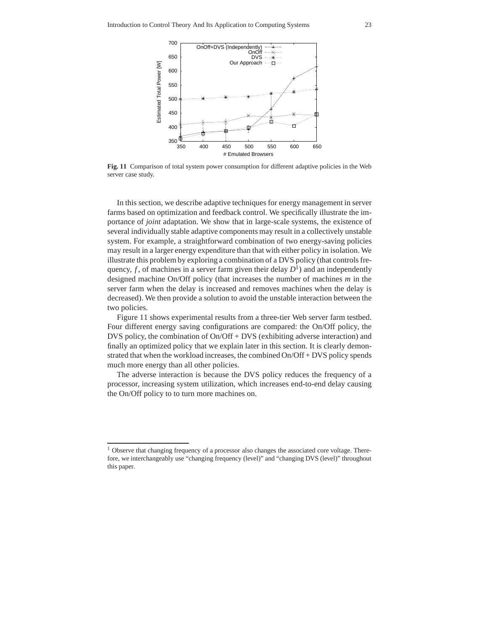

**Fig. 11** Comparison of total system power consumption for different adaptive policies in the Web server case study.

In this section, we describe adaptive techniques for energy management in server farms based on optimization and feedback control. We specifically illustrate the importance of *joint* adaptation. We show that in large-scale systems, the existence of several individually stable adaptive components may result in a collectively unstable system. For example, a straightforward combination of two energy-saving policies may result in a larger energy expenditure than that with either policy in isolation. We illustrate this problem by exploring a combination of a DVS policy (that controls frequency,  $f$ , of machines in a server farm given their delay  $D<sup>1</sup>$ ) and an independently designed machine On/Off policy (that increases the number of machines *m* in the server farm when the delay is increased and removes machines when the delay is decreased). We then provide a solution to avoid the unstable interaction between the two policies.

Figure 11 shows experimental results from a three-tier Web server farm testbed. Four different energy saving configurations are compared: the On/Off policy, the DVS policy, the combination of On/Off + DVS (exhibiting adverse interaction) and finally an optimized policy that we explain later in this section. It is clearly demonstrated that when the workload increases, the combined On/Off + DVS policy spends much more energy than all other policies.

The adverse interaction is because the DVS policy reduces the frequency of a processor, increasing system utilization, which increases end-to-end delay causing the On/Off policy to to turn more machines on.

<sup>&</sup>lt;sup>1</sup> Observe that changing frequency of a processor also changes the associated core voltage. Therefore, we interchangeably use "changing frequency (level)" and "changing DVS (level)" throughout this paper.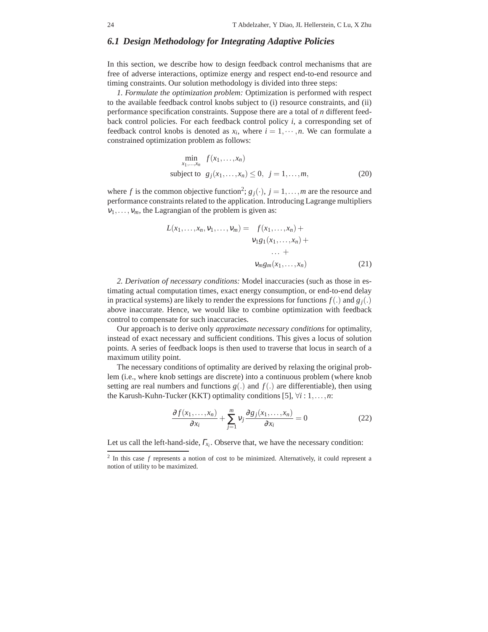#### *6.1 Design Methodology for Integrating Adaptive Policies*

In this section, we describe how to design feedback control mechanisms that are free of adverse interactions, optimize energy and respect end-to-end resource and timing constraints. Our solution methodology is divided into three steps:

*1. Formulate the optimization problem:* Optimization is performed with respect to the available feedback control knobs subject to (i) resource constraints, and (ii) performance specification constraints. Suppose there are a total of *n* different feedback control policies. For each feedback control policy *i*, a corresponding set of feedback control knobs is denoted as  $x_i$ , where  $i = 1, \dots, n$ . We can formulate a constrained optimization problem as follows:

$$
\min_{x_1, ..., x_n} f(x_1, ..., x_n)
$$
  
subject to  $g_j(x_1, ..., x_n) \le 0, j = 1, ..., m,$  (20)

where *f* is the common objective function<sup>2</sup>;  $g_j(\cdot)$ ,  $j = 1, \ldots, m$  are the resource and performance constraints related to the application. Introducing Lagrange multipliers  $v_1, \ldots, v_m$ , the Lagrangian of the problem is given as:

$$
L(x_1,...,x_n, v_1,...,v_m) = f(x_1,...,x_n) + v_1 g_1(x_1,...,x_n) + ... + v_m g_m(x_1,...,x_n)
$$
 (21)

*2. Derivation of necessary conditions:* Model inaccuracies (such as those in estimating actual computation times, exact energy consumption, or end-to-end delay in practical systems) are likely to render the expressions for functions  $f(.)$  and  $g_j(.)$ above inaccurate. Hence, we would like to combine optimization with feedback control to compensate for such inaccuracies.

Our approach is to derive only *approximate necessary conditions* for optimality, instead of exact necessary and sufficient conditions. This gives a locus of solution points. A series of feedback loops is then used to traverse that locus in search of a maximum utility point.

The necessary conditions of optimality are derived by relaxing the original problem (i.e., where knob settings are discrete) into a continuous problem (where knob setting are real numbers and functions  $g(.)$  and  $f(.)$  are differentiable), then using the Karush-Kuhn-Tucker (KKT) optimality conditions [5], ∀*i* : 1,...,*n*:

$$
\frac{\partial f(x_1,\ldots,x_n)}{\partial x_i} + \sum_{j=1}^m v_j \frac{\partial g_j(x_1,\ldots,x_n)}{\partial x_i} = 0
$$
\n(22)

Let us call the left-hand-side, <sup>Γ</sup>*x<sup>i</sup>* . Observe that, we have the necessary condition:

 $2 \text{ In this case } f$  represents a notion of cost to be minimized. Alternatively, it could represent a notion of utility to be maximized.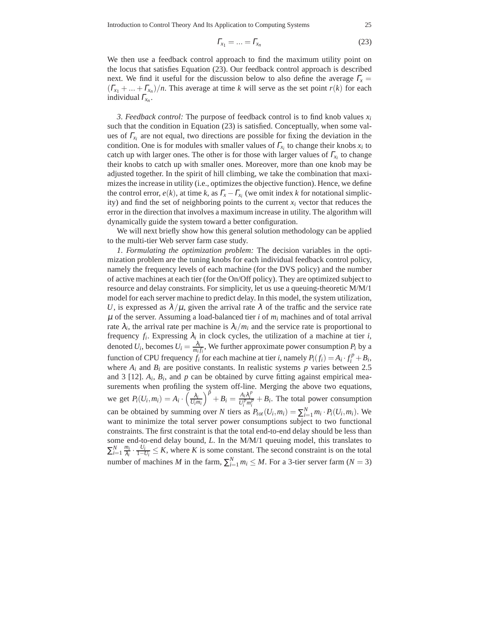$$
\Gamma_{x_1} = \dots = \Gamma_{x_n} \tag{23}
$$

We then use a feedback control approach to find the maximum utility point on the locus that satisfies Equation (23). Our feedback control approach is described next. We find it useful for the discussion below to also define the average  $\Gamma_x =$  $(\Gamma_{x_1} + ... + \Gamma_{x_n})/n$ . This average at time *k* will serve as the set point  $r(k)$  for each individual <sup>Γ</sup>*x<sup>n</sup>* .

*3. Feedback control:* The purpose of feedback control is to find knob values *x<sup>i</sup>* such that the condition in Equation (23) is satisfied. Conceptually, when some values of  $\Gamma_{x_i}$  are not equal, two directions are possible for fixing the deviation in the condition. One is for modules with smaller values of  $\Gamma_{x_i}$  to change their knobs  $x_i$  to catch up with larger ones. The other is for those with larger values of  $\Gamma_{x_i}$  to change their knobs to catch up with smaller ones. Moreover, more than one knob may be adjusted together. In the spirit of hill climbing, we take the combination that maximizes the increase in utility (i.e., optimizes the objective function). Hence, we define the control error,  $e(k)$ , at time k, as  $\Gamma_x - \Gamma_{x_i}$  (we omit index k for notational simplicity) and find the set of neighboring points to the current  $x_i$  vector that reduces the error in the direction that involves a maximum increase in utility. The algorithm will dynamically guide the system toward a better configuration.

We will next briefly show how this general solution methodology can be applied to the multi-tier Web server farm case study.

*1. Formulating the optimization problem:* The decision variables in the optimization problem are the tuning knobs for each individual feedback control policy, namely the frequency levels of each machine (for the DVS policy) and the number of active machines at each tier (for the On/Off policy). They are optimized subject to resource and delay constraints. For simplicity, let us use a queuing-theoretic M/M/1 model for each server machine to predict delay. In this model, the system utilization, *U*, is expressed as  $\lambda/\mu$ , given the arrival rate  $\lambda$  of the traffic and the service rate  $\mu$  of the server. Assuming a load-balanced tier *i* of  $m_i$  machines and of total arrival rate  $\lambda_i$ , the arrival rate per machine is  $\lambda_i/m_i$  and the service rate is proportional to frequency  $f_i$ . Expressing  $\lambda_i$  in clock cycles, the utilization of a machine at tier *i*, denoted  $U_i$ , becomes  $U_i = \frac{\lambda_i}{m_i f_i}$ , We further approximate power consumption  $P_i$  by a function of CPU frequency  $f_i$  for each machine at tier *i*, namely  $P_i(f_i) = A_i \cdot f_i^p + B_i$ , where  $A_i$  and  $B_i$  are positive constants. In realistic systems  $p$  varies between 2.5 and 3 [12].  $A_i$ ,  $B_i$ , and  $p$  can be obtained by curve fitting against empirical measurements when profiling the system off-line. Merging the above two equations, we get  $P_i(U_i, m_i) = A_i \cdot \left(\frac{\lambda_i}{U_i m_i}\right)^{\check{p}} + B_i = \frac{A_i \lambda_i^p}{U_i^p m_i^p} + B_i$ . The total power consumption can be obtained by summing over *N* tiers as  $P_{tot}(U_i, m_i) = \sum_{i=1}^{N} m_i \cdot P_i(U_i, m_i)$ . We want to minimize the total server power consumptions subject to two functional constraints. The first constraint is that the total end-to-end delay should be less than some end-to-end delay bound, *L*. In the M/M/1 queuing model, this translates to  $\sum_{i=1}^{N} \frac{m_i}{\lambda_i}$  $\frac{m_i}{\lambda_i} \cdot \frac{U_i}{1-U_i} \leq K$ , where *K* is some constant. The second constraint is on the total number of machines *M* in the farm,  $\sum_{i=1}^{N} m_i \leq M$ . For a 3-tier server farm (*N* = 3)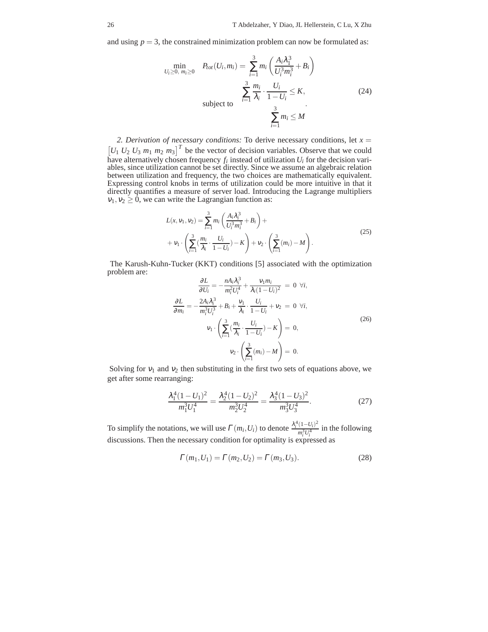and using  $p = 3$ , the constrained minimization problem can now be formulated as:

$$
\min_{U_i \geq 0, m_i \geq 0} \quad P_{tot}(U_i, m_i) = \sum_{i=1}^3 m_i \left( \frac{A_i \lambda_1^3}{U_i^3 m_i^3} + B_i \right)
$$
\n
$$
\sum_{i=1}^3 \frac{m_i}{\lambda_i} \cdot \frac{U_i}{1 - U_i} \leq K,
$$
\nsubject to

\n
$$
\sum_{i=1}^3 m_i \leq M
$$
\n
$$
(24)
$$

*2. Derivation of necessary conditions:* To derive necessary conditions, let *x* =  $\begin{bmatrix} U_1 & U_2 & U_3 & m_1 & m_2 & m_3 \end{bmatrix}^T$  be the vector of decision variables. Observe that we could have alternatively chosen frequency  $f_i$  instead of utilization  $U_i$  for the decision variables, since utilization cannot be set directly. Since we assume an algebraic relation between utilization and frequency, the two choices are mathematically equivalent. Expressing control knobs in terms of utilization could be more intuitive in that it directly quantifies a measure of server load. Introducing the Lagrange multipliers  $v_1, v_2 \geq 0$ , we can write the Lagrangian function as:

$$
L(x, v_1, v_2) = \sum_{i=1}^{3} m_i \left( \frac{A_i \lambda_i^3}{U_i^3 m_i^3} + B_i \right) +
$$
  
+ 
$$
v_1 \cdot \left( \sum_{i=1}^{3} \left( \frac{m_i}{\lambda_i} \cdot \frac{U_i}{1 - U_i} \right) - K \right) + v_2 \cdot \left( \sum_{i=1}^{3} (m_i) - M \right).
$$
 (25)

The Karush-Kuhn-Tucker (KKT) conditions [5] associated with the optimization problem are:

$$
\frac{\partial L}{\partial U_i} = -\frac{n A_i \lambda_i^3}{m_i^2 U_i^4} + \frac{v_1 m_i}{\lambda_i (1 - U_i)^2} = 0 \ \forall i,
$$
\n
$$
\frac{\partial L}{\partial m_i} = -\frac{2 A_i \lambda_i^3}{m_i^3 U_i^3} + B_i + \frac{v_1}{\lambda_i} \cdot \frac{U_i}{1 - U_i} + v_2 = 0 \ \forall i,
$$
\n
$$
v_1 \cdot \left( \sum_{i=1}^3 \left( \frac{m_i}{\lambda_i} \cdot \frac{U_i}{1 - U_i} \right) - K \right) = 0,
$$
\n
$$
v_2 \cdot \left( \sum_{i=1}^3 (m_i) - M \right) = 0.
$$
\n(26)

Solving for  $v_1$  and  $v_2$  then substituting in the first two sets of equations above, we get after some rearranging:

$$
\frac{\lambda_1^4 (1 - U_1)^2}{m_1^3 U_1^4} = \frac{\lambda_2^4 (1 - U_2)^2}{m_2^3 U_2^4} = \frac{\lambda_3^4 (1 - U_3)^2}{m_3^3 U_3^4}.
$$
 (27)

To simplify the notations, we will use  $\Gamma(m_i, U_i)$  to denote  $\frac{\lambda_i^4 (1-U_i)^2}{m^3 I_i^4}$  $\frac{(1 - U_i)}{m_i^3 U_i^4}$  in the following discussions. Then the necessary condition for optimality is expressed as

$$
\Gamma(m_1, U_1) = \Gamma(m_2, U_2) = \Gamma(m_3, U_3). \tag{28}
$$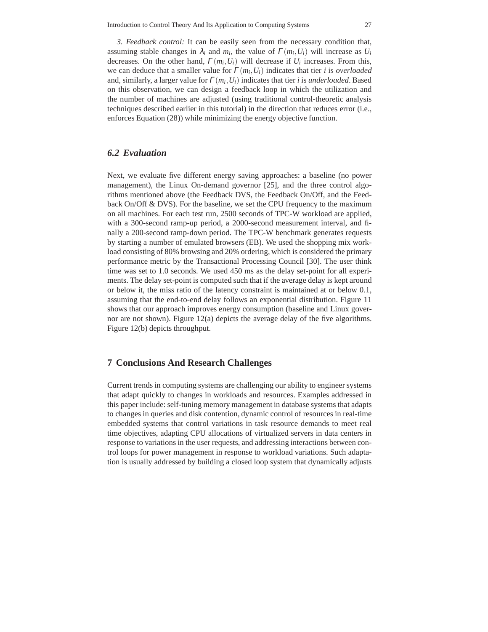*3. Feedback control:* It can be easily seen from the necessary condition that, assuming stable changes in  $\lambda_i$  and  $m_i$ , the value of  $\Gamma(m_i, U_i)$  will increase as  $U_i$ decreases. On the other hand,  $\Gamma(m_i, U_i)$  will decrease if  $U_i$  increases. From this, we can deduce that a smaller value for  $\Gamma(m_i, U_i)$  indicates that tier *i* is *overloaded* and, similarly, a larger value for <sup>Γ</sup> (*m<sup>i</sup>* ,*Ui*) indicates that tier *i* is *underloaded*. Based on this observation, we can design a feedback loop in which the utilization and the number of machines are adjusted (using traditional control-theoretic analysis techniques described earlier in this tutorial) in the direction that reduces error (i.e., enforces Equation (28)) while minimizing the energy objective function.

### *6.2 Evaluation*

Next, we evaluate five different energy saving approaches: a baseline (no power management), the Linux On-demand governor [25], and the three control algorithms mentioned above (the Feedback DVS, the Feedback On/Off, and the Feedback On/Off & DVS). For the baseline, we set the CPU frequency to the maximum on all machines. For each test run, 2500 seconds of TPC-W workload are applied, with a 300-second ramp-up period, a 2000-second measurement interval, and finally a 200-second ramp-down period. The TPC-W benchmark generates requests by starting a number of emulated browsers (EB). We used the shopping mix workload consisting of 80% browsing and 20% ordering, which is considered the primary performance metric by the Transactional Processing Council [30]. The user think time was set to 1.0 seconds. We used 450 ms as the delay set-point for all experiments. The delay set-point is computed such that if the average delay is kept around or below it, the miss ratio of the latency constraint is maintained at or below 0.1, assuming that the end-to-end delay follows an exponential distribution. Figure 11 shows that our approach improves energy consumption (baseline and Linux governor are not shown). Figure 12(a) depicts the average delay of the five algorithms. Figure 12(b) depicts throughput.

#### **7 Conclusions And Research Challenges**

Current trends in computing systems are challenging our ability to engineer systems that adapt quickly to changes in workloads and resources. Examples addressed in this paper include: self-tuning memory management in database systems that adapts to changes in queries and disk contention, dynamic control of resources in real-time embedded systems that control variations in task resource demands to meet real time objectives, adapting CPU allocations of virtualized servers in data centers in response to variations in the user requests, and addressing interactions between control loops for power management in response to workload variations. Such adaptation is usually addressed by building a closed loop system that dynamically adjusts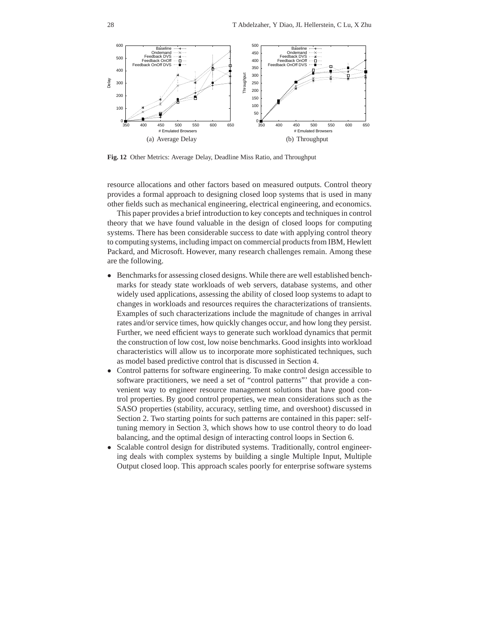

**Fig. 12** Other Metrics: Average Delay, Deadline Miss Ratio, and Throughput

resource allocations and other factors based on measured outputs. Control theory provides a formal approach to designing closed loop systems that is used in many other fields such as mechanical engineering, electrical engineering, and economics.

This paper provides a brief introduction to key concepts and techniques in control theory that we have found valuable in the design of closed loops for computing systems. There has been considerable success to date with applying control theory to computing systems, including impact on commercial products from IBM, Hewlett Packard, and Microsoft. However, many research challenges remain. Among these are the following.

- Benchmarks for assessing closed designs. While there are well established benchmarks for steady state workloads of web servers, database systems, and other widely used applications, assessing the ability of closed loop systems to adapt to changes in workloads and resources requires the characterizations of transients. Examples of such characterizations include the magnitude of changes in arrival rates and/or service times, how quickly changes occur, and how long they persist. Further, we need efficient ways to generate such workload dynamics that permit the construction of low cost, low noise benchmarks. Good insights into workload characteristics will allow us to incorporate more sophisticated techniques, such as model based predictive control that is discussed in Section 4.
- Control patterns for software engineering. To make control design accessible to software practitioners, we need a set of "control patterns"' that provide a convenient way to engineer resource management solutions that have good control properties. By good control properties, we mean considerations such as the SASO properties (stability, accuracy, settling time, and overshoot) discussed in Section 2. Two starting points for such patterns are contained in this paper: selftuning memory in Section 3, which shows how to use control theory to do load balancing, and the optimal design of interacting control loops in Section 6.
- Scalable control design for distributed systems. Traditionally, control engineering deals with complex systems by building a single Multiple Input, Multiple Output closed loop. This approach scales poorly for enterprise software systems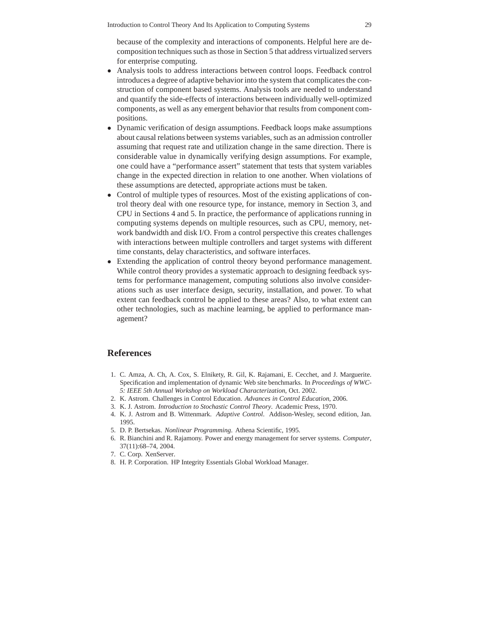because of the complexity and interactions of components. Helpful here are decomposition techniques such as those in Section 5 that address virtualized servers for enterprise computing.

- Analysis tools to address interactions between control loops. Feedback control introduces a degree of adaptive behavior into the system that complicates the construction of component based systems. Analysis tools are needed to understand and quantify the side-effects of interactions between individually well-optimized components, as well as any emergent behavior that results from component compositions.
- Dynamic verification of design assumptions. Feedback loops make assumptions about causal relations between systems variables, such as an admission controller assuming that request rate and utilization change in the same direction. There is considerable value in dynamically verifying design assumptions. For example, one could have a "performance assert" statement that tests that system variables change in the expected direction in relation to one another. When violations of these assumptions are detected, appropriate actions must be taken.
- Control of multiple types of resources. Most of the existing applications of control theory deal with one resource type, for instance, memory in Section 3, and CPU in Sections 4 and 5. In practice, the performance of applications running in computing systems depends on multiple resources, such as CPU, memory, network bandwidth and disk I/O. From a control perspective this creates challenges with interactions between multiple controllers and target systems with different time constants, delay characteristics, and software interfaces.
- Extending the application of control theory beyond performance management. While control theory provides a systematic approach to designing feedback systems for performance management, computing solutions also involve considerations such as user interface design, security, installation, and power. To what extent can feedback control be applied to these areas? Also, to what extent can other technologies, such as machine learning, be applied to performance management?

#### **References**

- 1. C. Amza, A. Ch, A. Cox, S. Elnikety, R. Gil, K. Rajamani, E. Cecchet, and J. Marguerite. Specification and implementation of dynamic Web site benchmarks. In *Proceedings of WWC-5: IEEE 5th Annual Workshop on Workload Characterization*, Oct. 2002.
- 2. K. Astrom. Challenges in Control Education. *Advances in Control Education*, 2006.
- 3. K. J. Astrom. *Introduction to Stochastic Control Theory*. Academic Press, 1970.
- 4. K. J. Astrom and B. Wittenmark. *Adaptive Control*. Addison-Wesley, second edition, Jan. 1995.
- 5. D. P. Bertsekas. *Nonlinear Programming*. Athena Scientific, 1995.
- 6. R. Bianchini and R. Rajamony. Power and energy management for server systems. *Computer*, 37(11):68–74, 2004.
- 7. C. Corp. XenServer.
- 8. H. P. Corporation. HP Integrity Essentials Global Workload Manager.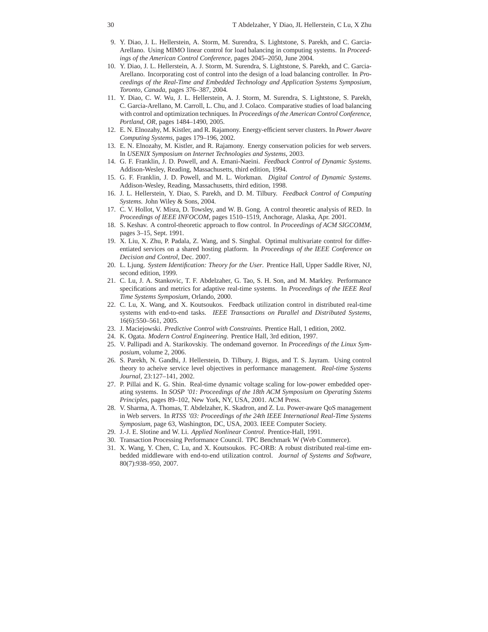- 9. Y. Diao, J. L. Hellerstein, A. Storm, M. Surendra, S. Lightstone, S. Parekh, and C. Garcia-Arellano. Using MIMO linear control for load balancing in computing systems. In *Proceedings of the American Control Conference*, pages 2045–2050, June 2004.
- 10. Y. Diao, J. L. Hellerstein, A. J. Storm, M. Surendra, S. Lightstone, S. Parekh, and C. Garcia-Arellano. Incorporating cost of control into the design of a load balancing controller. In *Proceedings of the Real-Time and Embedded Technology and Application Systems Symposium, Toronto, Canada*, pages 376–387, 2004.
- 11. Y. Diao, C. W. Wu, J. L. Hellerstein, A. J. Storm, M. Surendra, S. Lightstone, S. Parekh, C. Garcia-Arellano, M. Carroll, L. Chu, and J. Colaco. Comparative studies of load balancing with control and optimization techniques. In *Proceedings of the American Control Conference, Portland, OR*, pages 1484–1490, 2005.
- 12. E. N. Elnozahy, M. Kistler, and R. Rajamony. Energy-efficient server clusters. In *Power Aware Computing Systems*, pages 179–196, 2002.
- 13. E. N. Elnozahy, M. Kistler, and R. Rajamony. Energy conservation policies for web servers. In *USENIX Symposium on Internet Technologies and Systems*, 2003.
- 14. G. F. Franklin, J. D. Powell, and A. Emani-Naeini. *Feedback Control of Dynamic Systems*. Addison-Wesley, Reading, Massachusetts, third edition, 1994.
- 15. G. F. Franklin, J. D. Powell, and M. L. Workman. *Digital Control of Dynamic Systems*. Addison-Wesley, Reading, Massachusetts, third edition, 1998.
- 16. J. L. Hellerstein, Y. Diao, S. Parekh, and D. M. Tilbury. *Feedback Control of Computing Systems*. John Wiley & Sons, 2004.
- 17. C. V. Hollot, V. Misra, D. Towsley, and W. B. Gong. A control theoretic analysis of RED. In *Proceedings of IEEE INFOCOM*, pages 1510–1519, Anchorage, Alaska, Apr. 2001.
- 18. S. Keshav. A control-theoretic approach to flow control. In *Proceedings of ACM SIGCOMM*, pages 3–15, Sept. 1991.
- 19. X. Liu, X. Zhu, P. Padala, Z. Wang, and S. Singhal. Optimal multivariate control for differentiated services on a shared hosting platform. In *Proceedings of the IEEE Conference on Decision and Control*, Dec. 2007.
- 20. L. Ljung. *System Identification: Theory for the User*. Prentice Hall, Upper Saddle River, NJ, second edition, 1999.
- 21. C. Lu, J. A. Stankovic, T. F. Abdelzaher, G. Tao, S. H. Son, and M. Markley. Performance specifications and metrics for adaptive real-time systems. In *Proceedings of the IEEE Real Time Systems Symposium*, Orlando, 2000.
- 22. C. Lu, X. Wang, and X. Koutsoukos. Feedback utilization control in distributed real-time systems with end-to-end tasks. *IEEE Transactions on Parallel and Distributed Systems*, 16(6):550–561, 2005.
- 23. J. Maciejowski. *Predictive Control with Constraints*. Prentice Hall, 1 edition, 2002.
- 24. K. Ogata. *Modern Control Engineering*. Prentice Hall, 3rd edition, 1997.
- 25. V. Pallipadi and A. Starikovskiy. The ondemand governor. In *Proceedings of the Linux Symposium*, volume 2, 2006.
- 26. S. Parekh, N. Gandhi, J. Hellerstein, D. Tilbury, J. Bigus, and T. S. Jayram. Using control theory to acheive service level objectives in performance management. *Real-time Systems Journal*, 23:127–141, 2002.
- 27. P. Pillai and K. G. Shin. Real-time dynamic voltage scaling for low-power embedded operating systems. In *SOSP '01: Proceedings of the 18th ACM Symposium on Operating Sstems Principles*, pages 89–102, New York, NY, USA, 2001. ACM Press.
- 28. V. Sharma, A. Thomas, T. Abdelzaher, K. Skadron, and Z. Lu. Power-aware QoS management in Web servers. In *RTSS '03: Proceedings of the 24th IEEE International Real-Time Systems Symposium*, page 63, Washington, DC, USA, 2003. IEEE Computer Society.
- 29. J.-J. E. Slotine and W. Li. *Applied Nonlinear Control*. Prentice-Hall, 1991.
- 30. Transaction Processing Performance Council. TPC Benchmark W (Web Commerce).
- 31. X. Wang, Y. Chen, C. Lu, and X. Koutsoukos. FC-ORB: A robust distributed real-time embedded middleware with end-to-end utilization control. *Journal of Systems and Software*, 80(7):938–950, 2007.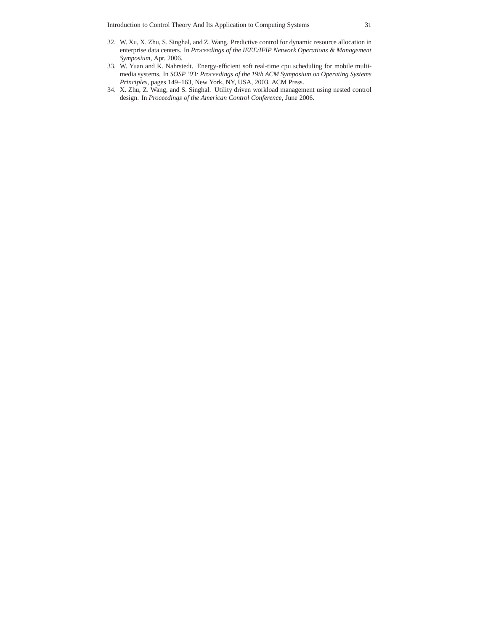- 32. W. Xu, X. Zhu, S. Singhal, and Z. Wang. Predictive control for dynamic resource allocation in enterprise data centers. In *Proceedings of the IEEE/IFIP Network Operations & Management Symposium*, Apr. 2006.
- 33. W. Yuan and K. Nahrstedt. Energy-efficient soft real-time cpu scheduling for mobile multimedia systems. In *SOSP '03: Proceedings of the 19th ACM Symposium on Operating Systems Principles*, pages 149–163, New York, NY, USA, 2003. ACM Press.
- 34. X. Zhu, Z. Wang, and S. Singhal. Utility driven workload management using nested control design. In *Proceedings of the American Control Conference*, June 2006.